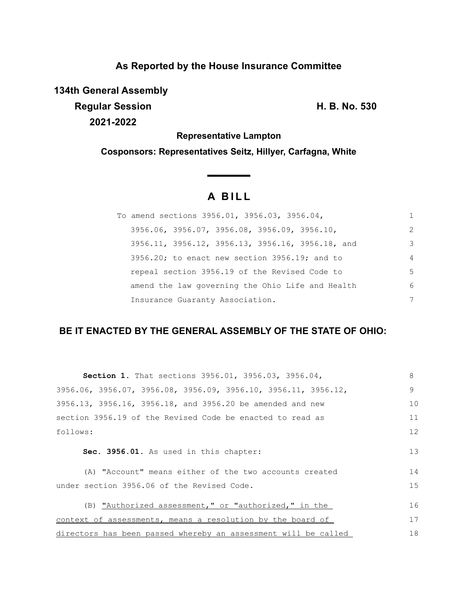# **As Reported by the House Insurance Committee**

**134th General Assembly**

**Regular Session H. B. No. 530 2021-2022**

**Representative Lampton**

**Cosponsors: Representatives Seitz, Hillyer, Carfagna, White**

# **A B I L L**

| To amend sections 3956.01, 3956.03, 3956.04,                |                |
|-------------------------------------------------------------|----------------|
| $3956.06$ , $3956.07$ , $3956.08$ , $3956.09$ , $3956.10$ , | $\mathcal{L}$  |
| 3956.11, 3956.12, 3956.13, 3956.16, 3956.18, and            | 3              |
| $3956.20$ ; to enact new section $3956.19$ ; and to         | $\overline{4}$ |
| repeal section 3956.19 of the Revised Code to               | 5              |
| amend the law governing the Ohio Life and Health            | 6              |
| Insurance Guaranty Association.                             | 7              |

## **BE IT ENACTED BY THE GENERAL ASSEMBLY OF THE STATE OF OHIO:**

| Section 1. That sections 3956.01, 3956.03, 3956.04,            | 8  |
|----------------------------------------------------------------|----|
| 3956.06, 3956.07, 3956.08, 3956.09, 3956.10, 3956.11, 3956.12, | 9  |
| 3956.13, 3956.16, 3956.18, and 3956.20 be amended and new      | 10 |
| section 3956.19 of the Revised Code be enacted to read as      | 11 |
| follows:                                                       | 12 |
|                                                                |    |
| Sec. 3956.01. As used in this chapter:                         | 13 |
| (A) "Account" means either of the two accounts created         | 14 |
| under section 3956.06 of the Revised Code.                     | 15 |
|                                                                |    |
| (B) "Authorized assessment," or "authorized," in the           | 16 |
| context of assessments, means a resolution by the board of     | 17 |
| directors has been passed whereby an assessment will be called | 18 |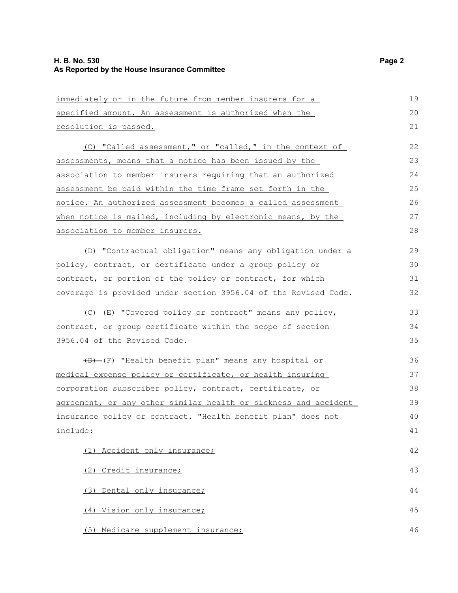| immediately or in the future from member insurers for a               | 19 |
|-----------------------------------------------------------------------|----|
| specified amount. An assessment is authorized when the                | 20 |
| resolution is passed.                                                 | 21 |
| (C) "Called assessment," or "called," in the context of               | 22 |
| assessments, means that a notice has been issued by the               | 23 |
| association to member insurers requiring that an authorized           | 24 |
| assessment be paid within the time frame set forth in the             | 25 |
| notice. An authorized assessment becomes a called assessment          | 26 |
| when notice is mailed, including by electronic means, by the          | 27 |
| association to member insurers.                                       | 28 |
| (D) "Contractual obligation" means any obligation under a             | 29 |
| policy, contract, or certificate under a group policy or              | 30 |
| contract, or portion of the policy or contract, for which             | 31 |
| coverage is provided under section 3956.04 of the Revised Code.       | 32 |
| $\overline{(E) - (E)}$ "Covered policy or contract" means any policy, | 33 |
| contract, or group certificate within the scope of section            | 34 |
| 3956.04 of the Revised Code.                                          | 35 |
| (D)-(F) "Health benefit plan" means any hospital or                   | 36 |
| medical expense policy or certificate, or health insuring             | 37 |
| corporation subscriber policy, contract, certificate, or              | 38 |
| agreement, or any other similar health or sickness and accident       | 39 |
| insurance policy or contract. "Health benefit plan" does not          | 40 |
| include:                                                              | 41 |
| (1) Accident only insurance;                                          | 42 |
| (2) Credit insurance;                                                 | 43 |
| (3) Dental only insurance;                                            | 44 |
| (4) Vision only insurance;                                            | 45 |
| (5) Medicare supplement insurance;                                    | 46 |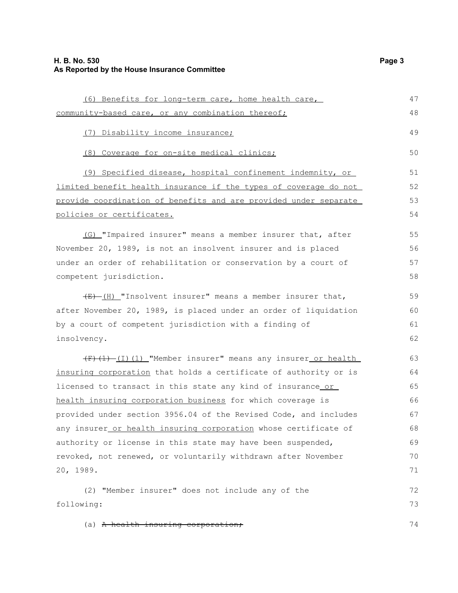### **H. B. No. 530 Page 3 As Reported by the House Insurance Committee**

| (6) Benefits for long-term care, home health care,                 | 47 |
|--------------------------------------------------------------------|----|
| community-based care, or any combination thereof;                  | 48 |
| (7) Disability income insurance;                                   | 49 |
| (8) Coverage for on-site medical clinics;                          | 50 |
| (9) Specified disease, hospital confinement indemnity, or          | 51 |
| limited benefit health insurance if the types of coverage do not   | 52 |
| provide coordination of benefits and are provided under separate   | 53 |
| policies or certificates.                                          | 54 |
| (G) "Impaired insurer" means a member insurer that, after          | 55 |
| November 20, 1989, is not an insolvent insurer and is placed       | 56 |
| under an order of rehabilitation or conservation by a court of     | 57 |
| competent jurisdiction.                                            | 58 |
| $\frac{E}{E}$ (H) "Insolvent insurer" means a member insurer that, | 59 |
| after November 20, 1989, is placed under an order of liquidation   | 60 |
| by a court of competent jurisdiction with a finding of             | 61 |
| insolvency.                                                        | 62 |
| (F)(1)-(I)(1)_"Member insurer" means any insurer_or health_        | 63 |
| insuring corporation that holds a certificate of authority or is   | 64 |
| licensed to transact in this state any kind of insurance or        | 65 |
| health insuring corporation business for which coverage is         | 66 |
| provided under section 3956.04 of the Revised Code, and includes   | 67 |
| any insurer_or health insuring corporation whose certificate of    | 68 |
| authority or license in this state may have been suspended,        | 69 |
| revoked, not renewed, or voluntarily withdrawn after November      | 70 |
| 20, 1989.                                                          | 71 |
| (2) "Member insurer" does not include any of the                   | 72 |
| following:                                                         | 73 |
| (a) A health insuring corporation;                                 | 74 |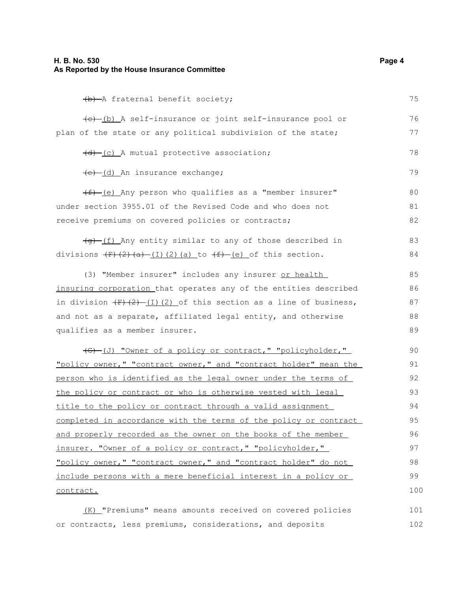(b) A fraternal benefit society; (c) (b) A self-insurance or joint self-insurance pool or plan of the state or any political subdivision of the state;  $(d)$  (c) A mutual protective association; (e) (d) An insurance exchange;  $(f)$  (e) Any person who qualifies as a "member insurer" under section 3955.01 of the Revised Code and who does not receive premiums on covered policies or contracts;  $\left( \frac{f(x)}{g(x)} \right)$  (f) Any entity similar to any of those described in divisions  $(F)(2)(a)$  (I)(2)(a) to  $(f)-(e)$  of this section. (3) "Member insurer" includes any insurer or health insuring corporation that operates any of the entities described in division  $\left(\frac{F}{F}\right)\left(\frac{2}{F}\right)$  (I)(2) of this section as a line of business, and not as a separate, affiliated legal entity, and otherwise qualifies as a member insurer. (G) (J) "Owner of a policy or contract," "policyholder," "policy owner," "contract owner," and "contract holder" mean the person who is identified as the legal owner under the terms of the policy or contract or who is otherwise vested with legal title to the policy or contract through a valid assignment completed in accordance with the terms of the policy or contract and properly recorded as the owner on the books of the member insurer. "Owner of a policy or contract," "policyholder," "policy owner," "contract owner," and "contract holder" do not include persons with a mere beneficial interest in a policy or contract. (K) "Premiums" means amounts received on covered policies 75 76 77 78 79 80 81 82 83 84 85 86 87 88 89 90 91 92 93 94 95 96 97 98 99 100 101

or contracts, less premiums, considerations, and deposits 102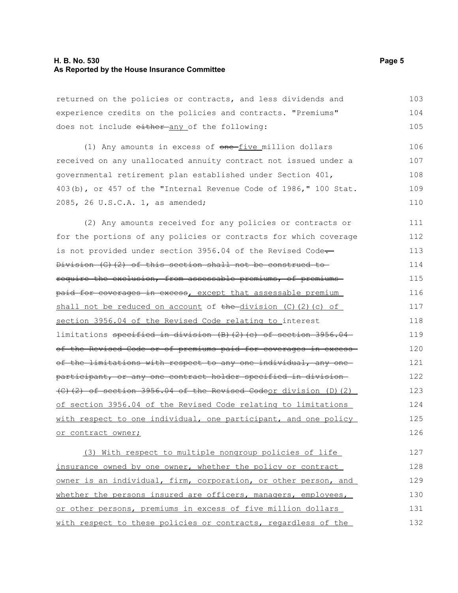### **H. B. No. 530 Page 5 As Reported by the House Insurance Committee**

returned on the policies or contracts, and less dividends and experience credits on the policies and contracts. "Premiums" does not include either any of the following: 103 104 105

(1) Any amounts in excess of  $one$ -five million dollars received on any unallocated annuity contract not issued under a governmental retirement plan established under Section 401, 403(b), or 457 of the "Internal Revenue Code of 1986," 100 Stat. 2085, 26 U.S.C.A. 1, as amended; 106 107 108 109 110

(2) Any amounts received for any policies or contracts or for the portions of any policies or contracts for which coverage is not provided under section 3956.04 of the Revised Code. Division (G)(2) of this section shall not be construed to require the exclusion, from assessable premiums, of premiums paid for coverages in excess, except that assessable premium shall not be reduced on account of the division  $(C)$   $(2)$   $(c)$  of section 3956.04 of the Revised Code relating to interest limitations specified in division (B)(2)(c) of section 3956.04 of the Revised Code or of premiums paid for coverages in excess of the limitations with respect to any one individual, any one participant, or any one contract holder specified in division (C)(2) of section 3956.04 of the Revised Codeor division (D)(2) of section 3956.04 of the Revised Code relating to limitations with respect to one individual, one participant, and one policy or contract owner; 111 112 113 114 115 116 117 118 119 120 121 122 123 124 125 126

(3) With respect to multiple nongroup policies of life insurance owned by one owner, whether the policy or contract owner is an individual, firm, corporation, or other person, and whether the persons insured are officers, managers, employees, or other persons, premiums in excess of five million dollars with respect to these policies or contracts, regardless of the 127 128 129 130 131 132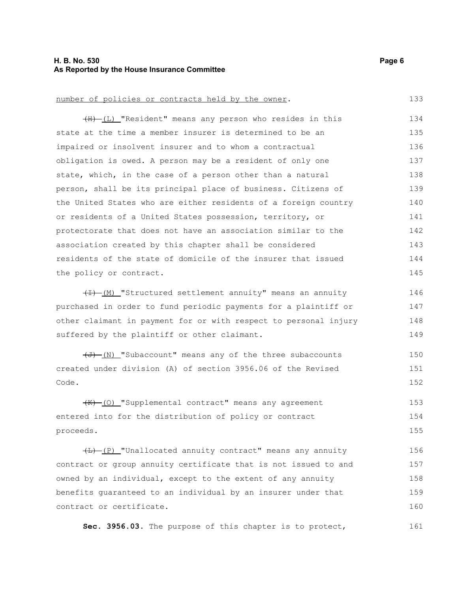### **H. B. No. 530 Page 6 As Reported by the House Insurance Committee**

#### number of policies or contracts held by the owner.

(H) (L) "Resident" means any person who resides in this state at the time a member insurer is determined to be an impaired or insolvent insurer and to whom a contractual obligation is owed. A person may be a resident of only one state, which, in the case of a person other than a natural person, shall be its principal place of business. Citizens of the United States who are either residents of a foreign country or residents of a United States possession, territory, or protectorate that does not have an association similar to the association created by this chapter shall be considered residents of the state of domicile of the insurer that issued the policy or contract. 134 135 136 137 138 139 140 141 142 143 144 145

 $(H)$  (M) "Structured settlement annuity" means an annuity purchased in order to fund periodic payments for a plaintiff or other claimant in payment for or with respect to personal injury suffered by the plaintiff or other claimant. 146 147 148 149

(J) (N) "Subaccount" means any of the three subaccounts created under division (A) of section 3956.06 of the Revised Code. 150 151 152

(K) (O) "Supplemental contract" means any agreement entered into for the distribution of policy or contract proceeds. 153 154 155

 $(H)$  (P) "Unallocated annuity contract" means any annuity contract or group annuity certificate that is not issued to and owned by an individual, except to the extent of any annuity benefits guaranteed to an individual by an insurer under that contract or certificate. 156 157 158 159 160

**Sec. 3956.03.** The purpose of this chapter is to protect, 161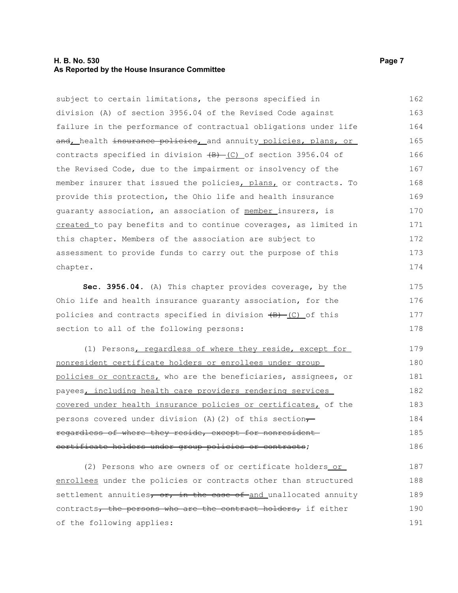### **H. B. No. 530 Page 7 As Reported by the House Insurance Committee**

subject to certain limitations, the persons specified in division (A) of section 3956.04 of the Revised Code against failure in the performance of contractual obligations under life and, health insurance policies, and annuity policies, plans, or contracts specified in division  $\overline{(B) - (C)}$  of section 3956.04 of the Revised Code, due to the impairment or insolvency of the member insurer that issued the policies, plans, or contracts. To provide this protection, the Ohio life and health insurance guaranty association, an association of member insurers, is created to pay benefits and to continue coverages, as limited in this chapter. Members of the association are subject to assessment to provide funds to carry out the purpose of this chapter. 162 163 164 165 166 167 168 169 170 171 172 173 174

**Sec. 3956.04.** (A) This chapter provides coverage, by the Ohio life and health insurance guaranty association, for the policies and contracts specified in division  $\overline{(B) - (C)}$  of this section to all of the following persons: 175 176 177 178

(1) Persons, regardless of where they reside, except for nonresident certificate holders or enrollees under group policies or contracts, who are the beneficiaries, assignees, or payees, including health care providers rendering services covered under health insurance policies or certificates, of the persons covered under division (A)(2) of this section $\tau$ regardless of where they reside, except for nonresident certificate holders under group policies or contracts; 179 180 181 182 183 184 185 186

(2) Persons who are owners of or certificate holders or enrollees under the policies or contracts other than structured settlement annuities, or, in the case of and unallocated annuity contracts, the persons who are the contract holders, if either of the following applies: 187 188 189 190 191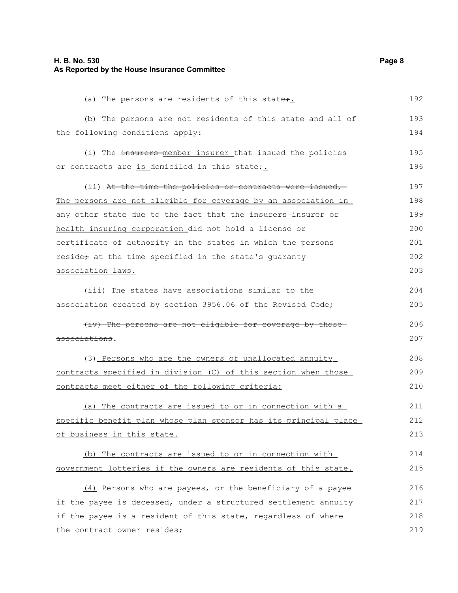### **H. B. No. 530 Page 8 As Reported by the House Insurance Committee**

| (a) The persons are residents of this state+.                        | 192 |
|----------------------------------------------------------------------|-----|
| (b) The persons are not residents of this state and all of           | 193 |
| the following conditions apply:                                      | 194 |
| (i) The insurers member insurer that issued the policies             | 195 |
| or contracts are is domiciled in this state,.                        | 196 |
| (ii) At the time the policies or contracts were issued,              | 197 |
| The persons are not eligible for coverage by an association in       | 198 |
| <u>any other state due to the fact that the insurers-insurer or </u> | 199 |
| health insuring corporation did not hold a license or                | 200 |
| certificate of authority in the states in which the persons          | 201 |
| reside <sub>t</sub> at the time specified in the state's quaranty    | 202 |
| association laws.                                                    | 203 |
| (iii) The states have associations similar to the                    | 204 |
| association created by section 3956.06 of the Revised Code+          | 205 |
| (iv) The persons are not eligible for coverage by those              | 206 |
| associations.                                                        | 207 |
| (3) Persons who are the owners of unallocated annuity                | 208 |
| contracts specified in division (C) of this section when those       | 209 |
| contracts meet either of the following criteria:                     | 210 |
| (a) The contracts are issued to or in connection with a              | 211 |
| specific benefit plan whose plan sponsor has its principal place     | 212 |
| of business in this state.                                           | 213 |
| (b) The contracts are issued to or in connection with                | 214 |
| government lotteries if the owners are residents of this state.      | 215 |
| (4) Persons who are payees, or the beneficiary of a payee            | 216 |
| if the payee is deceased, under a structured settlement annuity      | 217 |
| if the payee is a resident of this state, regardless of where        | 218 |
| the contract owner resides;                                          | 219 |
|                                                                      |     |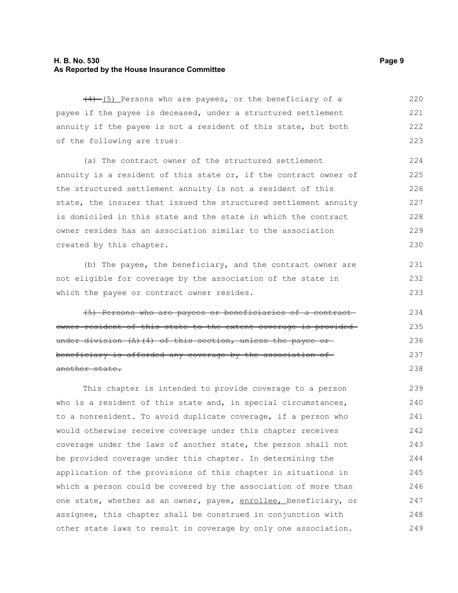### **H. B. No. 530 Page 9 As Reported by the House Insurance Committee**

 $(4)$  (5) Persons who are payees, or the beneficiary of a payee if the payee is deceased, under a structured settlement annuity if the payee is not a resident of this state, but both of the following are true: 220 221 222 223

(a) The contract owner of the structured settlement annuity is a resident of this state or, if the contract owner of the structured settlement annuity is not a resident of this state, the insurer that issued the structured settlement annuity is domiciled in this state and the state in which the contract owner resides has an association similar to the association created by this chapter. 224 225 226 227 228 229 230

(b) The payee, the beneficiary, and the contract owner are not eligible for coverage by the association of the state in which the payee or contract owner resides.

(5) Persons who are payees or beneficiaries of a contract owner resident of this state to the extent coverage is provided under division (A)(4) of this section, unless the payee or beneficiary is afforded any coverage by the association of another state.

This chapter is intended to provide coverage to a person who is a resident of this state and, in special circumstances, to a nonresident. To avoid duplicate coverage, if a person who would otherwise receive coverage under this chapter receives coverage under the laws of another state, the person shall not be provided coverage under this chapter. In determining the application of the provisions of this chapter in situations in which a person could be covered by the association of more than one state, whether as an owner, payee, enrollee, beneficiary, or assignee, this chapter shall be construed in conjunction with other state laws to result in coverage by only one association. 239 240 241 242 243 244 245 246 247 248 249

231 232 233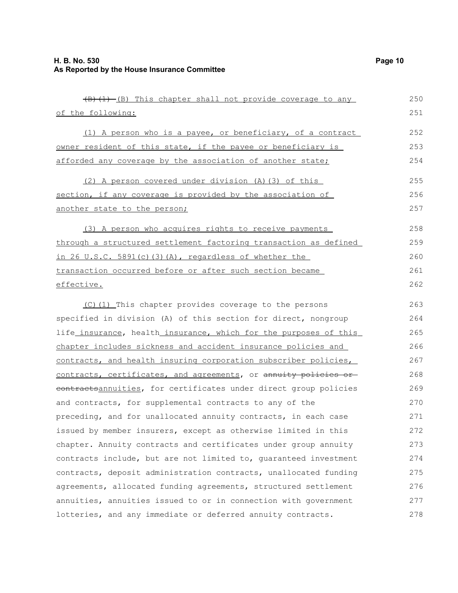| (B) (1) -(B) This chapter shall not provide coverage to any      | 250 |
|------------------------------------------------------------------|-----|
| of the following:                                                | 251 |
| (1) A person who is a payee, or beneficiary, of a contract       | 252 |
| owner resident of this state, if the payee or beneficiary is     | 253 |
| afforded any coverage by the association of another state;       | 254 |
| (2) A person covered under division (A) (3) of this              | 255 |
| section, if any coverage is provided by the association of       | 256 |
| another state to the person;                                     | 257 |
| (3) A person who acquires rights to receive payments             | 258 |
| through a structured settlement factoring transaction as defined | 259 |
| in 26 U.S.C. 5891(c) (3) (A), regardless of whether the          | 260 |
| transaction occurred before or after such section became         | 261 |
| effective.                                                       | 262 |
| (C) (1) This chapter provides coverage to the persons            | 263 |
| specified in division (A) of this section for direct, nongroup   | 264 |
| life_insurance, health_insurance, which for the purposes of this | 265 |
| chapter includes sickness and accident insurance policies and    | 266 |
| contracts, and health insuring corporation subscriber policies,  | 267 |
| contracts, certificates, and agreements, or annuity policies or- | 268 |
| contractsannuities, for certificates under direct group policies | 269 |
| and contracts, for supplemental contracts to any of the          | 270 |
| preceding, and for unallocated annuity contracts, in each case   | 271 |
| issued by member insurers, except as otherwise limited in this   | 272 |
| chapter. Annuity contracts and certificates under group annuity  | 273 |
| contracts include, but are not limited to, quaranteed investment | 274 |
| contracts, deposit administration contracts, unallocated funding | 275 |
| agreements, allocated funding agreements, structured settlement  | 276 |
| annuities, annuities issued to or in connection with government  | 277 |
| lotteries, and any immediate or deferred annuity contracts.      | 278 |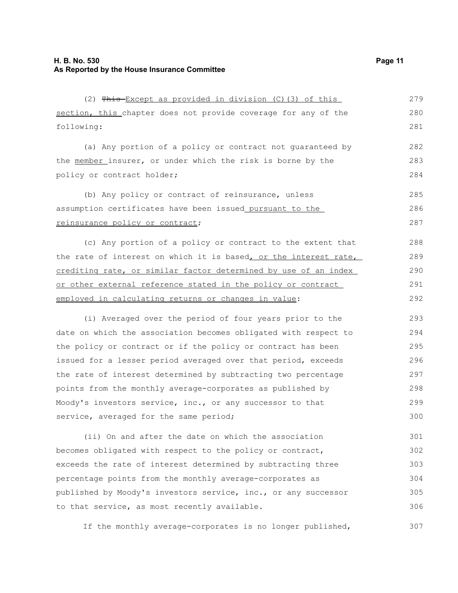| (2) This Except as provided in division (C) (3) of this             | 279 |
|---------------------------------------------------------------------|-----|
| section, this chapter does not provide coverage for any of the      | 280 |
| following:                                                          | 281 |
| (a) Any portion of a policy or contract not quaranteed by           | 282 |
| the member insurer, or under which the risk is borne by the         | 283 |
| policy or contract holder;                                          | 284 |
| (b) Any policy or contract of reinsurance, unless                   | 285 |
| assumption certificates have been issued_pursuant to the_           | 286 |
| reinsurance policy or contract;                                     | 287 |
| (c) Any portion of a policy or contract to the extent that          | 288 |
| the rate of interest on which it is based, or the interest rate,    | 289 |
| crediting rate, or similar factor determined by use of an index     | 290 |
| <u>or other external reference stated in the policy or contract</u> | 291 |
| employed in calculating returns or changes in value:                | 292 |
| (i) Averaged over the period of four years prior to the             | 293 |
| date on which the association becomes obligated with respect to     | 294 |
| the policy or contract or if the policy or contract has been        | 295 |
| issued for a lesser period averaged over that period, exceeds       | 296 |
| the rate of interest determined by subtracting two percentage       | 297 |
| points from the monthly average-corporates as published by          | 298 |
| Moody's investors service, inc., or any successor to that           | 299 |
| service, averaged for the same period;                              | 300 |
| (ii) On and after the date on which the association                 | 301 |
| becomes obligated with respect to the policy or contract,           | 302 |
| exceeds the rate of interest determined by subtracting three        | 303 |
| percentage points from the monthly average-corporates as            | 304 |
| published by Moody's investors service, inc., or any successor      | 305 |

If the monthly average-corporates is no longer published, 307

to that service, as most recently available.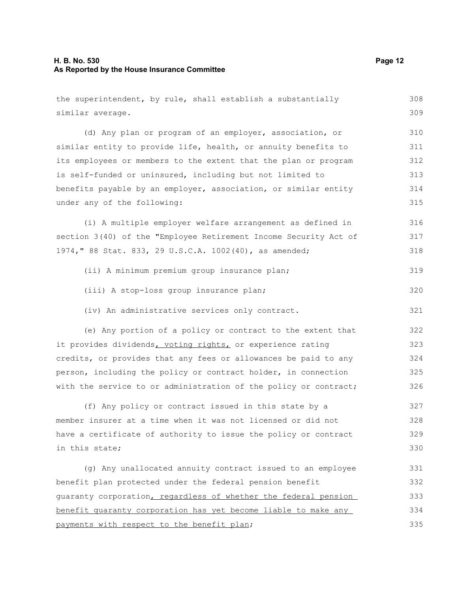### **H. B. No. 530 Page 12 As Reported by the House Insurance Committee**

| the superintendent, by rule, shall establish a substantially     | 308 |
|------------------------------------------------------------------|-----|
| similar average.                                                 | 309 |
| (d) Any plan or program of an employer, association, or          | 310 |
| similar entity to provide life, health, or annuity benefits to   | 311 |
| its employees or members to the extent that the plan or program  | 312 |
| is self-funded or uninsured, including but not limited to        | 313 |
| benefits payable by an employer, association, or similar entity  | 314 |
| under any of the following:                                      | 315 |
| (i) A multiple employer welfare arrangement as defined in        | 316 |
| section 3(40) of the "Employee Retirement Income Security Act of | 317 |
| 1974, " 88 Stat. 833, 29 U.S.C.A. 1002 (40), as amended;         | 318 |
| (ii) A minimum premium group insurance plan;                     | 319 |
| (iii) A stop-loss group insurance plan;                          | 320 |
| (iv) An administrative services only contract.                   | 321 |
| (e) Any portion of a policy or contract to the extent that       | 322 |
| it provides dividends, voting rights, or experience rating       | 323 |
| credits, or provides that any fees or allowances be paid to any  | 324 |
| person, including the policy or contract holder, in connection   | 325 |
| with the service to or administration of the policy or contract; | 326 |
| (f) Any policy or contract issued in this state by a             | 327 |
| member insurer at a time when it was not licensed or did not     | 328 |
| have a certificate of authority to issue the policy or contract  | 329 |
| in this state;                                                   | 330 |
| (g) Any unallocated annuity contract issued to an employee       | 331 |
| benefit plan protected under the federal pension benefit         | 332 |
| guaranty corporation, regardless of whether the federal pension  | 333 |
| benefit quaranty corporation has yet become liable to make any   | 334 |
| payments with respect to the benefit plan;                       | 335 |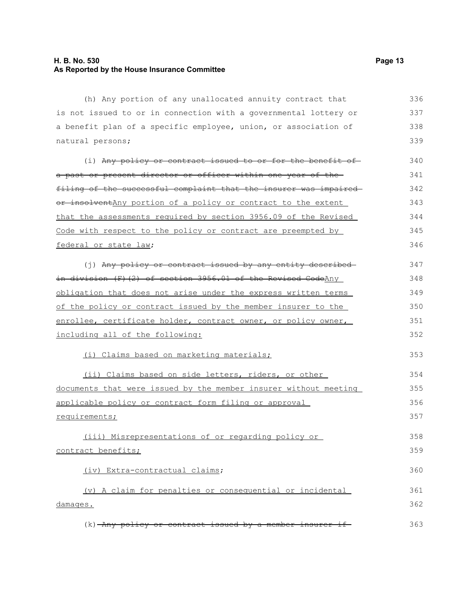### **H. B. No. 530 Page 13 As Reported by the House Insurance Committee**

(h) Any portion of any unallocated annuity contract that is not issued to or in connection with a governmental lottery or a benefit plan of a specific employee, union, or association of natural persons; 336 337 338 339

(i) Any policy or contract issued to or for the benefit ofa past or present director or officer within one year of the filing of the successful complaint that the insurer was impaired or insolventAny portion of a policy or contract to the extent that the assessments required by section 3956.09 of the Revised Code with respect to the policy or contract are preempted by federal or state law; 340 341 342 343 344 345 346

(j) Any policy or contract issued by any entity described in division (F)(2) of section 3956.01 of the Revised CodeAny obligation that does not arise under the express written terms of the policy or contract issued by the member insurer to the enrollee, certificate holder, contract owner, or policy owner, including all of the following: 347 348 349 350 351 352

(i) Claims based on marketing materials;

(ii) Claims based on side letters, riders, or other documents that were issued by the member insurer without meeting applicable policy or contract form filing or approval requirements;

(iii) Misrepresentations of or regarding policy or contract benefits;

(iv) Extra-contractual claims;

(v) A claim for penalties or consequential or incidental damages. 361 362

 $(k)$  -Any policy or contract issued by a member insurer if 363

353

358 359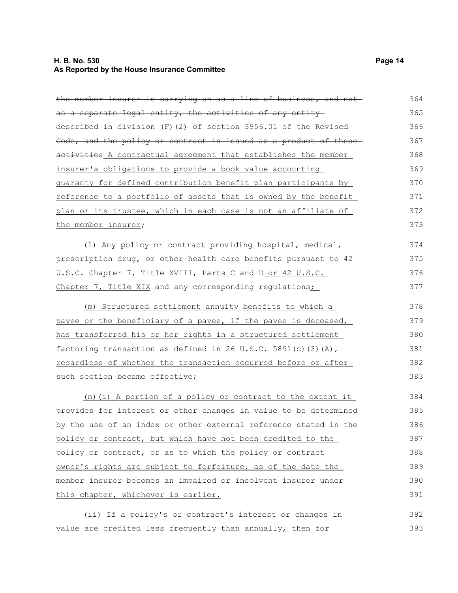### **H. B. No. 530 Page 14 As Reported by the House Insurance Committee**

| the member insurer is carrying on as a line of business, and not | 364 |
|------------------------------------------------------------------|-----|
| as a separate legal entity, the activities of any entity         | 365 |
| described in division (F) (2) of section 3956.01 of the Revised  | 366 |
| Code, and the policy or contract is issued as a product of those | 367 |
| activities A contractual agreement that establishes the member   | 368 |
| insurer's obligations to provide a book value accounting         | 369 |
| quaranty for defined contribution benefit plan participants by   | 370 |
| reference to a portfolio of assets that is owned by the benefit  | 371 |
| plan or its trustee, which in each case is not an affiliate of   | 372 |
| the member insurer;                                              | 373 |
| (1) Any policy or contract providing hospital, medical,          | 374 |
| prescription drug, or other health care benefits pursuant to 42  | 375 |
| U.S.C. Chapter 7, Title XVIII, Parts C and D or 42 U.S.C.        | 376 |
| Chapter 7, Title XIX and any corresponding regulations;          | 377 |
| (m) Structured settlement annuity benefits to which a            | 378 |
| payee or the beneficiary of a payee, if the payee is deceased,   | 379 |
| has transferred his or her rights in a structured settlement     | 380 |
| factoring transaction as defined in 26 U.S.C. 5891(c) (3) (A),   | 381 |
| regardless of whether the transaction occurred before or after   | 382 |
| such section became effective;                                   | 383 |
| (n) (i) A portion of a policy or contract to the extent it       | 384 |
| provides for interest or other changes in value to be determined | 385 |
| by the use of an index or other external reference stated in the | 386 |
| policy or contract, but which have not been credited to the      | 387 |
| policy or contract, or as to which the policy or contract        | 388 |
| owner's rights are subject to forfeiture, as of the date the     | 389 |
| member insurer becomes an impaired or insolvent insurer under    | 390 |
| this chapter, whichever is earlier.                              | 391 |
| (ii) If a policy's or contract's interest or changes in          | 392 |
| value are credited less frequently than annually, then for       | 393 |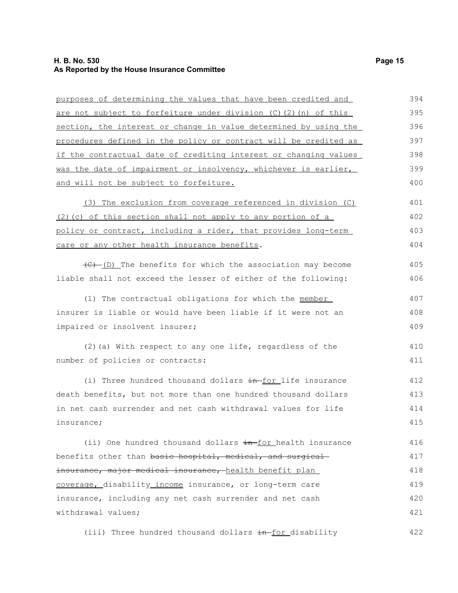### **H. B. No. 530 Page 15 As Reported by the House Insurance Committee**

| purposes of determining the values that have been credited and                          | 394 |
|-----------------------------------------------------------------------------------------|-----|
| <u>are not subject to forfeiture under division (C)(2)(n) of this</u>                   | 395 |
| section, the interest or change in value determined by using the                        | 396 |
| <u>procedures defined in the policy or contract will be credited as </u>                | 397 |
| if the contractual date of crediting interest or changing values                        | 398 |
| <u>was the date of impairment or insolvency, whichever is earlier, </u>                 | 399 |
| and will not be subject to forfeiture.                                                  | 400 |
| (3) The exclusion from coverage referenced in division (C)                              | 401 |
| (2) (c) of this section shall not apply to any portion of a                             | 402 |
| <u>policy or contract, including a rider, that provides long-term </u>                  | 403 |
| care or any other health insurance benefits.                                            | 404 |
| $\left(\frac{f(x)-f(0)}{f(0)}\right)$ The benefits for which the association may become | 405 |
| liable shall not exceed the lesser of either of the following:                          | 406 |
| (1) The contractual obligations for which the member                                    | 407 |
| insurer is liable or would have been liable if it were not an                           | 408 |
| impaired or insolvent insurer;                                                          | 409 |
| (2) (a) With respect to any one life, regardless of the                                 | 410 |
| number of policies or contracts:                                                        | 411 |
| (i) Three hundred thousand dollars in for life insurance                                | 412 |
| death benefits, but not more than one hundred thousand dollars                          | 413 |
| in net cash surrender and net cash withdrawal values for life                           | 414 |
| insurance;                                                                              | 415 |
| (ii) One hundred thousand dollars in-for health insurance                               | 416 |
| benefits other than <del>basic hospital, medical, and surgical</del>                    | 417 |
| insurance, major medical insurance, health benefit plan                                 | 418 |
| coverage, disability income insurance, or long-term care                                | 419 |
| insurance, including any net cash surrender and net cash                                | 420 |
| withdrawal values;                                                                      | 421 |
| (iii) Three hundred thousand dollars in-for disability                                  | 422 |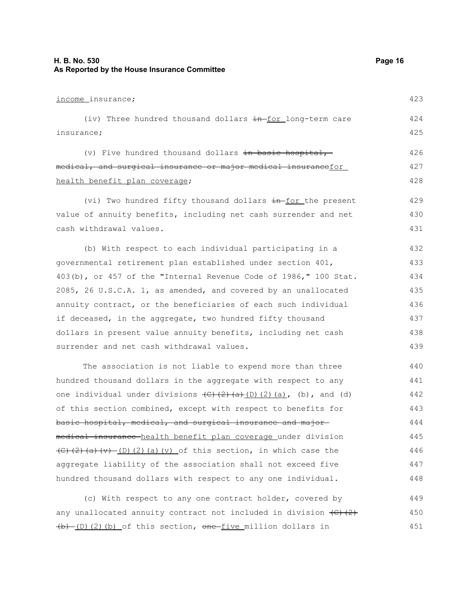### **H. B. No. 530 Page 16 As Reported by the House Insurance Committee**

| income_insurance;                                                                                                                                             | 423 |
|---------------------------------------------------------------------------------------------------------------------------------------------------------------|-----|
| (iv) Three hundred thousand dollars in-for long-term care                                                                                                     | 424 |
| insurance;                                                                                                                                                    | 425 |
| (v) Five hundred thousand dollars in basic hospital,-                                                                                                         | 426 |
| medical, and surgical insurance or major medical insurancefor                                                                                                 | 427 |
| health benefit plan coverage;                                                                                                                                 | 428 |
| (vi) Two hundred fifty thousand dollars in for the present                                                                                                    | 429 |
| value of annuity benefits, including net cash surrender and net                                                                                               | 430 |
| cash withdrawal values.                                                                                                                                       | 431 |
| (b) With respect to each individual participating in a                                                                                                        | 432 |
| governmental retirement plan established under section 401,                                                                                                   | 433 |
| 403(b), or 457 of the "Internal Revenue Code of 1986," 100 Stat.                                                                                              | 434 |
| 2085, 26 U.S.C.A. 1, as amended, and covered by an unallocated                                                                                                | 435 |
| annuity contract, or the beneficiaries of each such individual                                                                                                | 436 |
| if deceased, in the aggregate, two hundred fifty thousand                                                                                                     | 437 |
| dollars in present value annuity benefits, including net cash                                                                                                 | 438 |
| surrender and net cash withdrawal values.                                                                                                                     | 439 |
| The association is not liable to expend more than three                                                                                                       | 440 |
| hundred thousand dollars in the aggregate with respect to any                                                                                                 | 441 |
| one individual under divisions $\overline{(C)}$ $\overline{(2)}$ $\overline{(a)}$ $\overline{(2)}$ $\overline{(a)}$ , $\overline{(b)}$ , and $\overline{(d)}$ | 442 |
| of this section combined, except with respect to benefits for                                                                                                 | 443 |
| basic hospital, medical, and surgical insurance and major-                                                                                                    | 444 |
| me <del>dical insurance h</del> ealth benefit plan coverage under division                                                                                    | 445 |
| $(C)$ (2) (a) (v) $(D)$ (2) (a) (v) of this section, in which case the                                                                                        | 446 |
| aggregate liability of the association shall not exceed five                                                                                                  | 447 |
| hundred thousand dollars with respect to any one individual.                                                                                                  | 448 |
|                                                                                                                                                               |     |

(c) With respect to any one contract holder, covered by any unallocated annuity contract not included in division  $\left\{ \left. \mathsf{C}\right\} \right.$  (2)  $(b)$  (D)(2)(b) of this section, one five million dollars in 449 450 451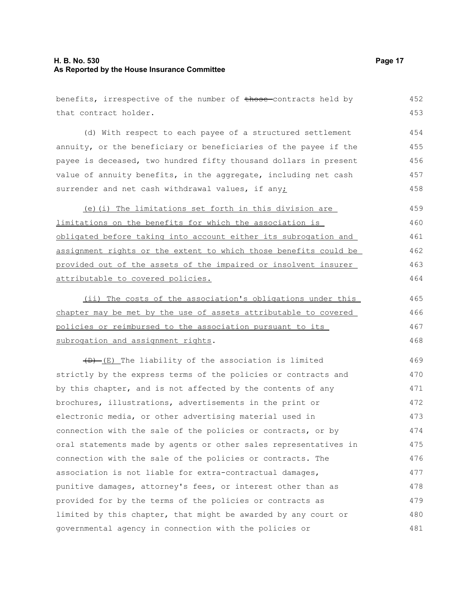### **H. B. No. 530 Page 17 As Reported by the House Insurance Committee**

#### benefits, irrespective of the number of those-contracts held by that contract holder. (d) With respect to each payee of a structured settlement annuity, or the beneficiary or beneficiaries of the payee if the payee is deceased, two hundred fifty thousand dollars in present value of annuity benefits, in the aggregate, including net cash surrender and net cash withdrawal values, if any; (e)(i) The limitations set forth in this division are limitations on the benefits for which the association is obligated before taking into account either its subrogation and assignment rights or the extent to which those benefits could be provided out of the assets of the impaired or insolvent insurer attributable to covered policies. (ii) The costs of the association's obligations under this chapter may be met by the use of assets attributable to covered policies or reimbursed to the association pursuant to its subrogation and assignment rights.  $(D)$  (E) The liability of the association is limited strictly by the express terms of the policies or contracts and by this chapter, and is not affected by the contents of any brochures, illustrations, advertisements in the print or electronic media, or other advertising material used in connection with the sale of the policies or contracts, or by oral statements made by agents or other sales representatives in connection with the sale of the policies or contracts. The association is not liable for extra-contractual damages, punitive damages, attorney's fees, or interest other than as provided for by the terms of the policies or contracts as limited by this chapter, that might be awarded by any court or governmental agency in connection with the policies or 452 453 454 455 456 457 458 459 460 461 462 463 464 465 466 467 468 469 470 471 472 473 474 475 476 477 478 479 480 481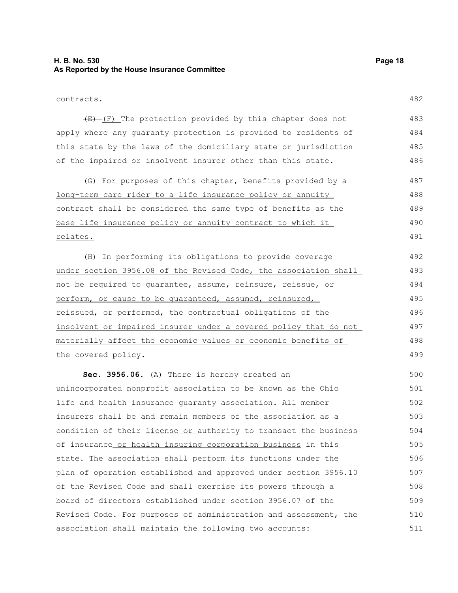### **H. B. No. 530 Page 18 As Reported by the House Insurance Committee**

482

 $(E)$  (F) The protection provided by this chapter does not apply where any guaranty protection is provided to residents of this state by the laws of the domiciliary state or jurisdiction of the impaired or insolvent insurer other than this state. 483 484 485 486

(G) For purposes of this chapter, benefits provided by a long-term care rider to a life insurance policy or annuity contract shall be considered the same type of benefits as the base life insurance policy or annuity contract to which it relates. 487 488 489 490 491

(H) In performing its obligations to provide coverage under section 3956.08 of the Revised Code, the association shall not be required to guarantee, assume, reinsure, reissue, or perform, or cause to be quaranteed, assumed, reinsured, reissued, or performed, the contractual obligations of the insolvent or impaired insurer under a covered policy that do not materially affect the economic values or economic benefits of the covered policy. 492 493 494 495 496 497 498 499

**Sec. 3956.06.** (A) There is hereby created an unincorporated nonprofit association to be known as the Ohio life and health insurance guaranty association. All member insurers shall be and remain members of the association as a condition of their *license or authority* to transact the business of insurance or health insuring corporation business in this state. The association shall perform its functions under the plan of operation established and approved under section 3956.10 of the Revised Code and shall exercise its powers through a board of directors established under section 3956.07 of the Revised Code. For purposes of administration and assessment, the association shall maintain the following two accounts: 500 501 502 503 504 505 506 507 508 509 510 511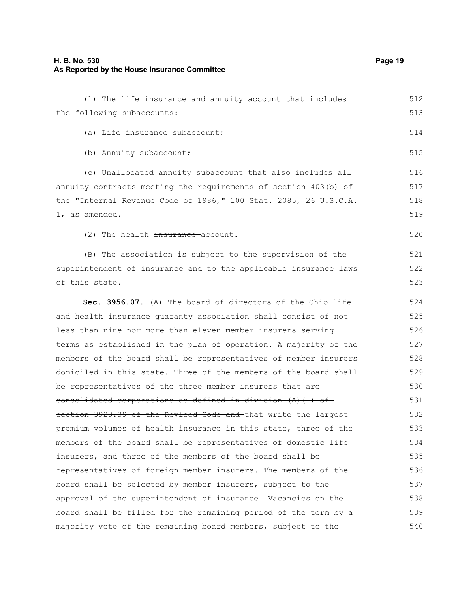520

521 522 523

(1) The life insurance and annuity account that includes the following subaccounts: (a) Life insurance subaccount; (b) Annuity subaccount; (c) Unallocated annuity subaccount that also includes all annuity contracts meeting the requirements of section 403(b) of the "Internal Revenue Code of 1986," 100 Stat. 2085, 26 U.S.C.A. 1, as amended. 512 513 514 515 516 517 518 519

(2) The health insurance account.

(B) The association is subject to the supervision of the superintendent of insurance and to the applicable insurance laws of this state.

**Sec. 3956.07.** (A) The board of directors of the Ohio life and health insurance guaranty association shall consist of not less than nine nor more than eleven member insurers serving terms as established in the plan of operation. A majority of the members of the board shall be representatives of member insurers domiciled in this state. Three of the members of the board shall be representatives of the three member insurers that are consolidated corporations as defined in division (A)(1) ofsection 3923.39 of the Revised Code and that write the largest premium volumes of health insurance in this state, three of the members of the board shall be representatives of domestic life insurers, and three of the members of the board shall be representatives of foreign member insurers. The members of the board shall be selected by member insurers, subject to the approval of the superintendent of insurance. Vacancies on the board shall be filled for the remaining period of the term by a majority vote of the remaining board members, subject to the 524 525 526 527 528 529 530 531 532 533 534 535 536 537 538 539 540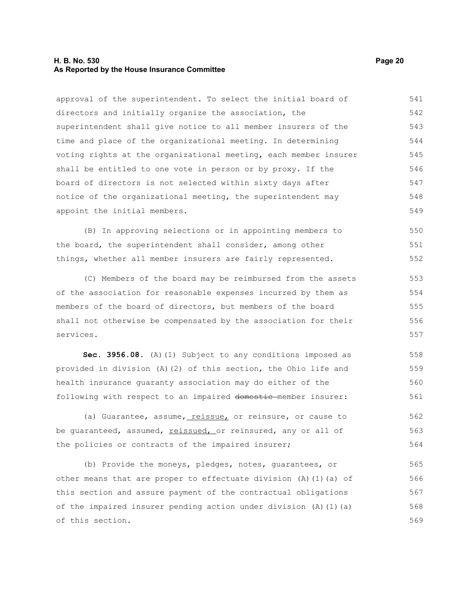### **H. B. No. 530 Page 20 As Reported by the House Insurance Committee**

approval of the superintendent. To select the initial board of directors and initially organize the association, the superintendent shall give notice to all member insurers of the time and place of the organizational meeting. In determining voting rights at the organizational meeting, each member insurer shall be entitled to one vote in person or by proxy. If the board of directors is not selected within sixty days after notice of the organizational meeting, the superintendent may appoint the initial members. 541 542 543 544 545 546 547 548 549

(B) In approving selections or in appointing members to the board, the superintendent shall consider, among other things, whether all member insurers are fairly represented. 550 551 552

(C) Members of the board may be reimbursed from the assets of the association for reasonable expenses incurred by them as members of the board of directors, but members of the board shall not otherwise be compensated by the association for their services.

**Sec. 3956.08.** (A)(1) Subject to any conditions imposed as provided in division (A)(2) of this section, the Ohio life and health insurance guaranty association may do either of the following with respect to an impaired domestic member insurer: 558 559 560 561

(a) Guarantee, assume, reissue, or reinsure, or cause to be quaranteed, assumed, reissued, or reinsured, any or all of the policies or contracts of the impaired insurer; 562 563 564

(b) Provide the moneys, pledges, notes, guarantees, or other means that are proper to effectuate division  $(A)$  (1)(a) of this section and assure payment of the contractual obligations of the impaired insurer pending action under division (A)(1)(a) of this section. 565 566 567 568 569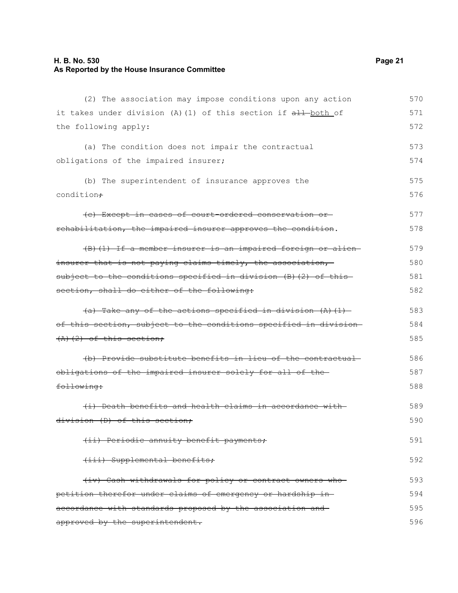### **H. B. No. 530 Page 21 As Reported by the House Insurance Committee**

| (2) The association may impose conditions upon any action         | 570 |
|-------------------------------------------------------------------|-----|
| it takes under division (A) (1) of this section if all both of    | 571 |
| the following apply:                                              | 572 |
| (a) The condition does not impair the contractual                 | 573 |
| obligations of the impaired insurer;                              | 574 |
| (b) The superintendent of insurance approves the                  | 575 |
| condition+                                                        | 576 |
| (e) Except in cases of court ordered conservation or-             | 577 |
| rehabilitation, the impaired insurer approves the condition.      | 578 |
| (B) (1) If a member insurer is an impaired foreign or alien-      | 579 |
| insurer that is not paying claims timely, the association,        | 580 |
| subject to the conditions specified in division (B) (2) of this   | 581 |
| section, shall do either of the following:                        | 582 |
| $(a)$ Take any of the actions specified in division $(A)$ $(1)$   | 583 |
| of this section, subject to the conditions specified in division- |     |
| $(A)$ $(2)$ of this section;                                      | 585 |
| (b) Provide substitute benefits in lieu of the contractual        | 586 |
| obligations of the impaired insurer solely for all of the-        | 587 |
| following:                                                        | 588 |
| (i) Death benefits and health claims in accordance with           | 589 |
| division (D) of this section;                                     | 590 |
| (ii) Periodic annuity benefit payments;                           | 591 |
| (iii) Supplemental benefits;                                      | 592 |
| (iv) Cash withdrawals for policy or contract owners who           | 593 |
| petition therefor under claims of emergency or hardship in-       | 594 |
| accordance with standards proposed by the association and-        | 595 |
| approved by the superintendent.                                   | 596 |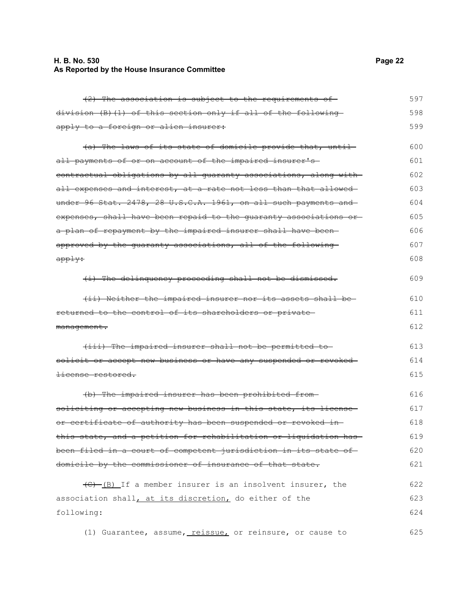### **H. B. No. 530 Page 22 As Reported by the House Insurance Committee**

(2) The association is subject to the requirements of division (B)(1) of this section only if all of the following apply to a foreign or alien insurer: (a) The laws of its state of domicile provide that, until

all payments of or on account of the impaired insurer'scontractual obligations by all guaranty associations, along with all expenses and interest, at a rate not less than that allowedunder 96 Stat. 2478, 28 U.S.C.A. 1961, on all such payments and expenses, shall have been repaid to the quaranty associations or a plan of repayment by the impaired insurer shall have beenapproved by the guaranty associations, all of the following apply: 601 602 603 604 605 606 607 608

(i) The delinquency proceeding shall not be dismissed. 609

| (ii) Neither the impaired insurer nor its assets shall be- | 610 |
|------------------------------------------------------------|-----|
| returned to the control of its shareholders or private-    | 611 |
| <del>management.</del>                                     | 612 |

(iii) The impaired insurer shall not be permitted to solicit or accept new business or have any suspended or revokedlicense restored. 613 614 615

(b) The impaired insurer has been prohibited from soliciting or accepting new business in this state, its licenseor certificate of authority has been suspended or revoked in this state, and a petition for rehabilitation or liquidation has been filed in a court of competent jurisdiction in its state of domicile by the commissioner of insurance of that state. 616 617 618 619 620 621

 $\left(\frac{1}{C}\right)$  (B) If a member insurer is an insolvent insurer, the association shall, at its discretion, do either of the following: 622 623 624

(1) Guarantee, assume, reissue, or reinsure, or cause to 625

597 598 599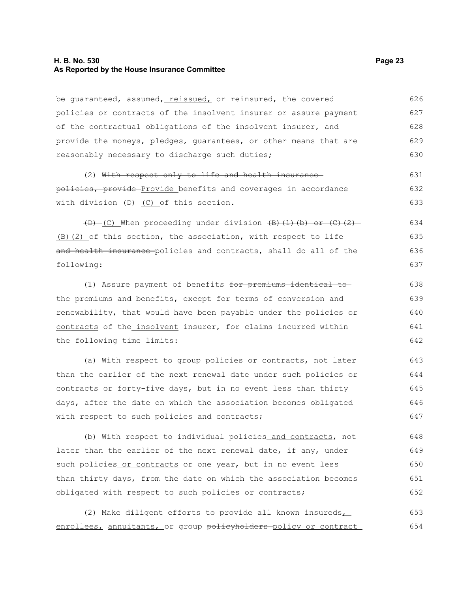### **H. B. No. 530 Page 23 As Reported by the House Insurance Committee**

be quaranteed, assumed, reissued, or reinsured, the covered policies or contracts of the insolvent insurer or assure payment of the contractual obligations of the insolvent insurer, and provide the moneys, pledges, guarantees, or other means that are reasonably necessary to discharge such duties; 626 627 628 629 630

(2) With respect only to life and health insurance policies, provide Provide benefits and coverages in accordance with division  $(D)$  (C) of this section. 631 632 633

 $(D)$  (C) When proceeding under division  $(B)$  (1)(b) or (C)(2)  $(B)$ (2) of this section, the association, with respect to  $\pm i\epsilon$ and health insurance policies and contracts, shall do all of the following: 634 635 636 637

(1) Assure payment of benefits for premiums identical to the premiums and benefits, except for terms of conversion and renewability, that would have been payable under the policies or contracts of the insolvent insurer, for claims incurred within the following time limits:

(a) With respect to group policies or contracts, not later than the earlier of the next renewal date under such policies or contracts or forty-five days, but in no event less than thirty days, after the date on which the association becomes obligated with respect to such policies and contracts; 643 644 645 646 647

(b) With respect to individual policies and contracts, not later than the earlier of the next renewal date, if any, under such policies or contracts or one year, but in no event less than thirty days, from the date on which the association becomes obligated with respect to such policies or contracts; 648 649 650 651 652

(2) Make diligent efforts to provide all known insureds enrollees, annuitants, or group policyholders policy or contract 653 654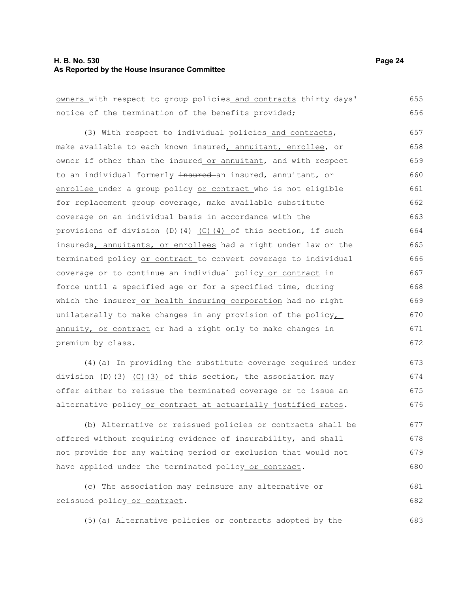#### **H. B. No. 530 Page 24 As Reported by the House Insurance Committee**

owners with respect to group policies and contracts thirty days' notice of the termination of the benefits provided; 655 656

(3) With respect to individual policies and contracts, make available to each known insured, annuitant, enrollee, or owner if other than the insured or annuitant, and with respect to an individual formerly insured an insured, annuitant, or enrollee under a group policy or contract who is not eligible for replacement group coverage, make available substitute coverage on an individual basis in accordance with the provisions of division  $(D)$   $(4)$   $(C)$   $(4)$  of this section, if such insureds, annuitants, or enrollees had a right under law or the terminated policy or contract to convert coverage to individual coverage or to continue an individual policy or contract in force until a specified age or for a specified time, during which the insurer or health insuring corporation had no right unilaterally to make changes in any provision of the policy $\overline{L}$ annuity, or contract or had a right only to make changes in premium by class. 657 658 659 660 661 662 663 664 665 666 667 668 669 670 671 672

(4)(a) In providing the substitute coverage required under division  $(D)$   $(3)$   $(C)$   $(3)$  of this section, the association may offer either to reissue the terminated coverage or to issue an alternative policy or contract at actuarially justified rates.

(b) Alternative or reissued policies or contracts shall be offered without requiring evidence of insurability, and shall not provide for any waiting period or exclusion that would not have applied under the terminated policy or contract. 677 678 679 680

(c) The association may reinsure any alternative or reissued policy or contract. 681 682

(5)(a) Alternative policies or contracts adopted by the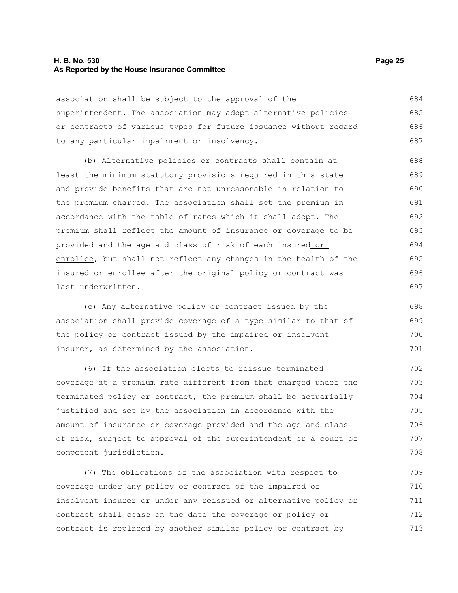### **H. B. No. 530 Page 25 As Reported by the House Insurance Committee**

association shall be subject to the approval of the superintendent. The association may adopt alternative policies or contracts of various types for future issuance without regard to any particular impairment or insolvency. 684 685 686 687

(b) Alternative policies or contracts shall contain at least the minimum statutory provisions required in this state and provide benefits that are not unreasonable in relation to the premium charged. The association shall set the premium in accordance with the table of rates which it shall adopt. The premium shall reflect the amount of insurance or coverage to be provided and the age and class of risk of each insured or enrollee, but shall not reflect any changes in the health of the insured or enrollee after the original policy or contract was last underwritten. 688 689 690 691 692 693 694 695 696 697

(c) Any alternative policy or contract issued by the association shall provide coverage of a type similar to that of the policy or contract issued by the impaired or insolvent insurer, as determined by the association. 698 699 700 701

(6) If the association elects to reissue terminated coverage at a premium rate different from that charged under the terminated policy or contract, the premium shall be actuarially justified and set by the association in accordance with the amount of insurance or coverage provided and the age and class of risk, subject to approval of the superintendent-or a court ofcompetent jurisdiction.

(7) The obligations of the association with respect to coverage under any policy or contract of the impaired or insolvent insurer or under any reissued or alternative policy or contract shall cease on the date the coverage or policy or contract is replaced by another similar policy or contract by 709 710 711 712 713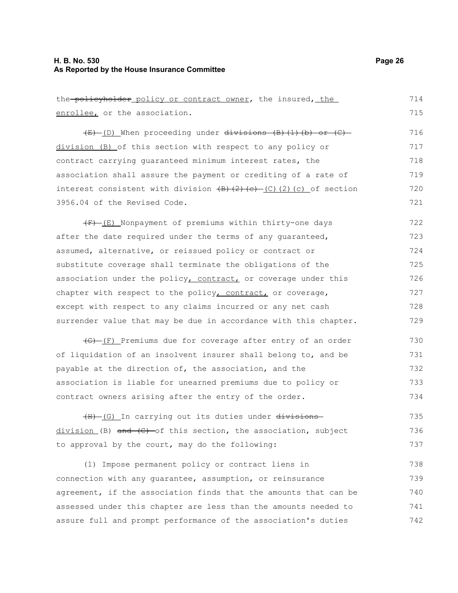### **H. B. No. 530 Page 26 As Reported by the House Insurance Committee**

the policyholder policy or contract owner, the insured, the enrollee, or the association. (E) (D) When proceeding under divisions (B)(1)(b) or (C) division (B) of this section with respect to any policy or contract carrying guaranteed minimum interest rates, the association shall assure the payment or crediting of a rate of interest consistent with division  $(B)$   $(2)$   $(c)$   $(2)$   $(c)$  of section 3956.04 of the Revised Code.  $(F)$  (E) Nonpayment of premiums within thirty-one days after the date required under the terms of any guaranteed, assumed, alternative, or reissued policy or contract or substitute coverage shall terminate the obligations of the association under the policy, contract, or coverage under this chapter with respect to the policy, contract, or coverage, except with respect to any claims incurred or any net cash surrender value that may be due in accordance with this chapter. (G) (F) Premiums due for coverage after entry of an order of liquidation of an insolvent insurer shall belong to, and be payable at the direction of, the association, and the association is liable for unearned premiums due to policy or contract owners arising after the entry of the order. (H) (G) In carrying out its duties under divisions  $division (B)$  and  $(C)$  of this section, the association, subject to approval by the court, may do the following: (1) Impose permanent policy or contract liens in connection with any guarantee, assumption, or reinsurance agreement, if the association finds that the amounts that can be assessed under this chapter are less than the amounts needed to 714 715 716 717 718 719 720 721 722 723 724 725 726 727 728 729 730 731 732 733 734 735 736 737 738 739 740 741

assure full and prompt performance of the association's duties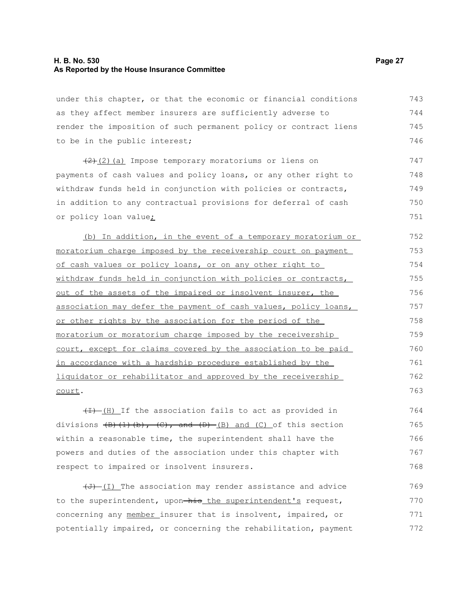### **H. B. No. 530 Page 27 As Reported by the House Insurance Committee**

court.

under this chapter, or that the economic or financial conditions as they affect member insurers are sufficiently adverse to render the imposition of such permanent policy or contract liens to be in the public interest; (2)(a) Impose temporary moratoriums or liens on payments of cash values and policy loans, or any other right to withdraw funds held in conjunction with policies or contracts, in addition to any contractual provisions for deferral of cash or policy loan value; (b) In addition, in the event of a temporary moratorium or moratorium charge imposed by the receivership court on payment of cash values or policy loans, or on any other right to withdraw funds held in conjunction with policies or contracts, out of the assets of the impaired or insolvent insurer, the association may defer the payment of cash values, policy loans, or other rights by the association for the period of the moratorium or moratorium charge imposed by the receivership court, except for claims covered by the association to be paid in accordance with a hardship procedure established by the liquidator or rehabilitator and approved by the receivership 743 744 745 746 747 748 749 750 751 752 753 754 755 756 757 758 759 760 761 762

 $(H)$  If the association fails to act as provided in divisions  $\left(\frac{B}{C}\right)$ ,  $\left(\frac{C}{C}\right)$ , and  $\left(\frac{D}{C}\right)$  and  $\left(\frac{C}{C}\right)$  of this section within a reasonable time, the superintendent shall have the powers and duties of the association under this chapter with respect to impaired or insolvent insurers. 764 765 766 767 768

 $(\overline{J})$  (I) The association may render assistance and advice to the superintendent, upon-his the superintendent's request, concerning any member insurer that is insolvent, impaired, or potentially impaired, or concerning the rehabilitation, payment 769 770 771 772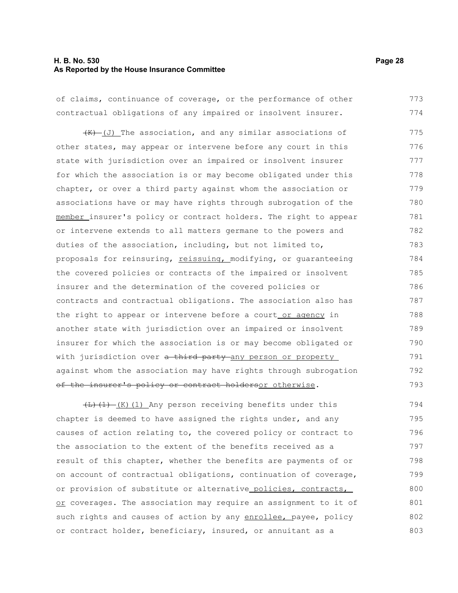### **H. B. No. 530 Page 28 As Reported by the House Insurance Committee**

of claims, continuance of coverage, or the performance of other contractual obligations of any impaired or insolvent insurer. 773 774

 $(H)$  (J) The association, and any similar associations of other states, may appear or intervene before any court in this state with jurisdiction over an impaired or insolvent insurer for which the association is or may become obligated under this chapter, or over a third party against whom the association or associations have or may have rights through subrogation of the member insurer's policy or contract holders. The right to appear or intervene extends to all matters germane to the powers and duties of the association, including, but not limited to, proposals for reinsuring, reissuing, modifying, or guaranteeing the covered policies or contracts of the impaired or insolvent insurer and the determination of the covered policies or contracts and contractual obligations. The association also has the right to appear or intervene before a court or agency in another state with jurisdiction over an impaired or insolvent insurer for which the association is or may become obligated or with jurisdiction over a third party any person or property against whom the association may have rights through subrogation of the insurer's policy or contract holdersor otherwise. 775 776 777 778 779 780 781 782 783 784 785 786 787 788 789 790 791 792 793

 $\left(\frac{L}{L}\right)\left(1\right)$  (K)(1) Any person receiving benefits under this chapter is deemed to have assigned the rights under, and any causes of action relating to, the covered policy or contract to the association to the extent of the benefits received as a result of this chapter, whether the benefits are payments of or on account of contractual obligations, continuation of coverage, or provision of substitute or alternative policies, contracts, or coverages. The association may require an assignment to it of such rights and causes of action by any enrollee, payee, policy or contract holder, beneficiary, insured, or annuitant as a 794 795 796 797 798 799 800 801 802 803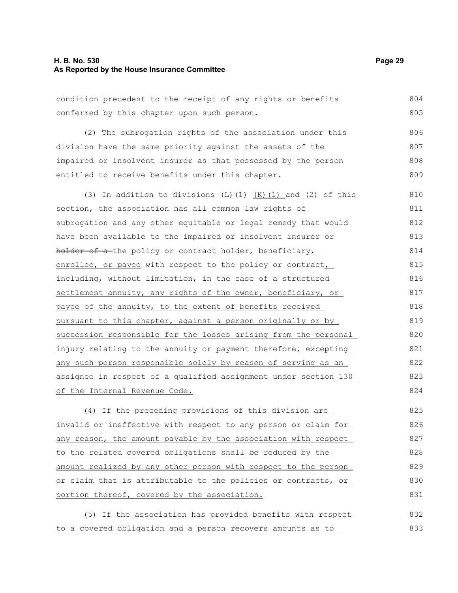### **H. B. No. 530 Page 29 As Reported by the House Insurance Committee**

condition precedent to the receipt of any rights or benefits conferred by this chapter upon such person. (2) The subrogation rights of the association under this division have the same priority against the assets of the impaired or insolvent insurer as that possessed by the person entitled to receive benefits under this chapter. (3) In addition to divisions  $\left(\frac{L}{L}\right)$  (K)(1) and (2) of this section, the association has all common law rights of subrogation and any other equitable or legal remedy that would have been available to the impaired or insolvent insurer or holder of a-the policy or contract holder, beneficiary, enrollee, or payee with respect to the policy or contract, including, without limitation, in the case of a structured settlement annuity, any rights of the owner, beneficiary, or payee of the annuity, to the extent of benefits received pursuant to this chapter, against a person originally or by succession responsible for the losses arising from the personal injury relating to the annuity or payment therefore, excepting any such person responsible solely by reason of serving as an assignee in respect of a qualified assignment under section 130 of the Internal Revenue Code. (4) If the preceding provisions of this division are invalid or ineffective with respect to any person or claim for any reason, the amount payable by the association with respect to the related covered obligations shall be reduced by the amount realized by any other person with respect to the person or claim that is attributable to the policies or contracts, or portion thereof, covered by the association. (5) If the association has provided benefits with respect to a covered obligation and a person recovers amounts as to 804 805 806 807 808 809 810 811 812 813 814 815 816 817 818 819 820 821 822 823 824 825 826 827 828 829 830 831 832 833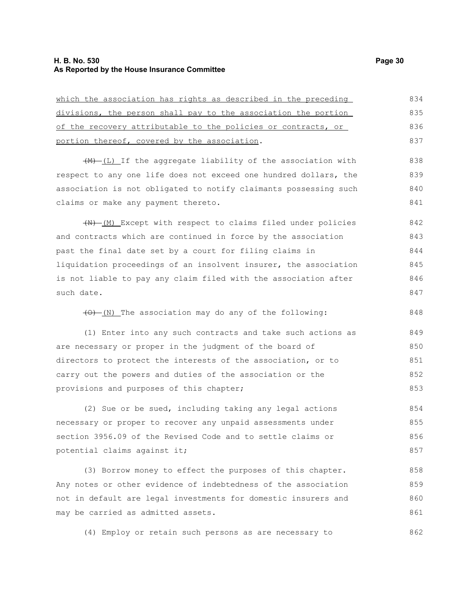may be carried as admitted assets.

| which the association has rights as described in the preceding      | 834 |
|---------------------------------------------------------------------|-----|
| divisions, the person shall pay to the association the portion      | 835 |
| of the recovery attributable to the policies or contracts, or       | 836 |
| portion thereof, covered by the association.                        | 837 |
| (M)-(L) If the aggregate liability of the association with          | 838 |
| respect to any one life does not exceed one hundred dollars, the    | 839 |
| association is not obligated to notify claimants possessing such    | 840 |
| claims or make any payment thereto.                                 | 841 |
| (N) [M] Except with respect to claims filed under policies          | 842 |
| and contracts which are continued in force by the association       | 843 |
| past the final date set by a court for filing claims in             | 844 |
| liquidation proceedings of an insolvent insurer, the association    | 845 |
| is not liable to pay any claim filed with the association after     | 846 |
| such date.                                                          | 847 |
| $\overline{(0) - (N)}$ The association may do any of the following: | 848 |
| (1) Enter into any such contracts and take such actions as          | 849 |
| are necessary or proper in the judgment of the board of             | 850 |
| directors to protect the interests of the association, or to        | 851 |
| carry out the powers and duties of the association or the           | 852 |
| provisions and purposes of this chapter;                            | 853 |
| (2) Sue or be sued, including taking any legal actions              | 854 |
| necessary or proper to recover any unpaid assessments under         | 855 |
| section 3956.09 of the Revised Code and to settle claims or         | 856 |
| potential claims against it;                                        | 857 |
| (3) Borrow money to effect the purposes of this chapter.            | 858 |
| Any notes or other evidence of indebtedness of the association      | 859 |
| not in default are legal investments for domestic insurers and      | 860 |

(4) Employ or retain such persons as are necessary to 862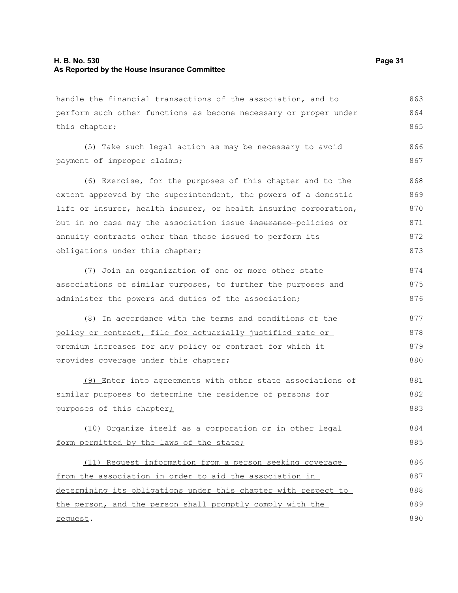handle the financial transactions of the association, and to perform such other functions as become necessary or proper under this chapter; 863 864 865

(5) Take such legal action as may be necessary to avoid payment of improper claims; 866 867

(6) Exercise, for the purposes of this chapter and to the extent approved by the superintendent, the powers of a domestic life or insurer, health insurer, or health insuring corporation, but in no case may the association issue insurance policies or annuity contracts other than those issued to perform its obligations under this chapter; 868 869 870 871 872 873

(7) Join an organization of one or more other state associations of similar purposes, to further the purposes and administer the powers and duties of the association; 874 875 876

(8) In accordance with the terms and conditions of the policy or contract, file for actuarially justified rate or premium increases for any policy or contract for which it provides coverage under this chapter; 877 878 879 880

(9) Enter into agreements with other state associations of similar purposes to determine the residence of persons for purposes of this chapter<sub>i</sub> 881 882 883

(10) Organize itself as a corporation or in other legal form permitted by the laws of the state; 884 885

(11) Request information from a person seeking coverage from the association in order to aid the association in determining its obligations under this chapter with respect to the person, and the person shall promptly comply with the request. 886 887 888 889 890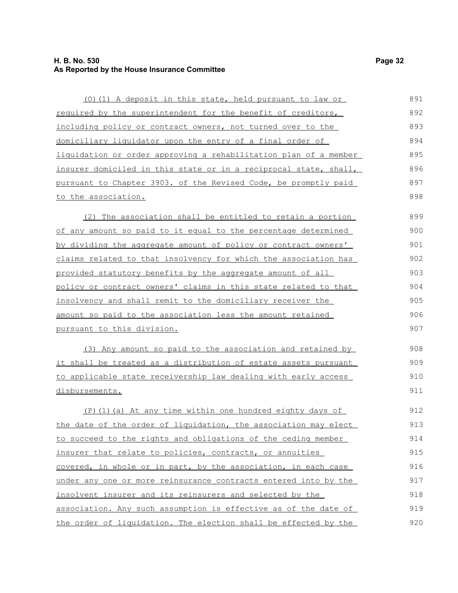### **H. B. No. 530 Page 32 As Reported by the House Insurance Committee**

| (0) (1) A deposit in this state, held pursuant to law or                 | 891 |
|--------------------------------------------------------------------------|-----|
| required by the superintendent for the benefit of creditors,             | 892 |
| including policy or contract owners, not turned over to the              | 893 |
| domiciliary liquidator upon the entry of a final order of                | 894 |
| <u>liquidation or order approving a rehabilitation plan of a member </u> | 895 |
| insurer domiciled in this state or in a reciprocal state, shall,         | 896 |
| pursuant to Chapter 3903. of the Revised Code, be promptly paid          | 897 |
| <u>to the association.</u>                                               | 898 |
| (2) The association shall be entitled to retain a portion                | 899 |
| of any amount so paid to it equal to the percentage determined           | 900 |
| <u>by dividing the aggregate amount of policy or contract owners'</u>    | 901 |
| claims related to that insolvency for which the association has          | 902 |
| <u>provided statutory benefits by the aggregate amount of all</u>        | 903 |
| <u>policy or contract owners' claims in this state related to that </u>  | 904 |
| <u>insolvency and shall remit to the domiciliary receiver the </u>       | 905 |
| amount so paid to the association less the amount retained               | 906 |
| <u>pursuant to this division.</u>                                        | 907 |
| (3) Any amount so paid to the association and retained by                | 908 |
| it shall be treated as a distribution of estate assets pursuant          | 909 |
| to applicable state receivership law dealing with early access           | 910 |
| <u>disbursements.</u>                                                    | 911 |
| $(P)$ (1) (a) At any time within one hundred eighty days of              | 912 |
| the date of the order of liquidation, the association may elect          | 913 |
| to succeed to the rights and obligations of the ceding member            | 914 |
| insurer that relate to policies, contracts, or annuities                 | 915 |
| covered, in whole or in part, by the association, in each case           | 916 |
| under any one or more reinsurance contracts entered into by the          | 917 |
| insolvent insurer and its reinsurers and selected by the                 | 918 |
| association. Any such assumption is effective as of the date of          | 919 |
| the order of liquidation. The election shall be effected by the          | 920 |
|                                                                          |     |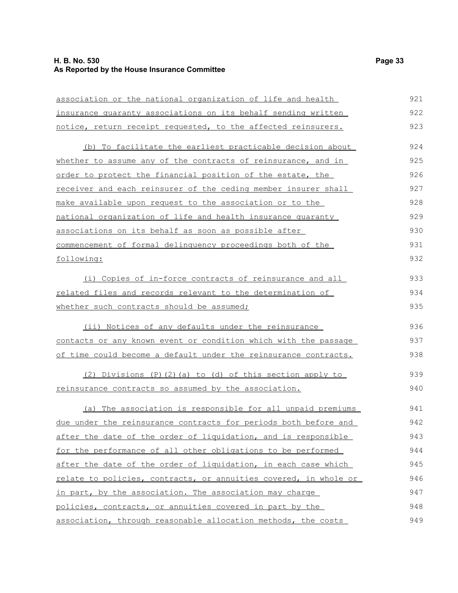### **H. B. No. 530 Page 33 As Reported by the House Insurance Committee**

| association or the national organization of life and health            | 921 |
|------------------------------------------------------------------------|-----|
| insurance quaranty associations on its behalf sending written          | 922 |
| notice, return receipt requested, to the affected reinsurers.          | 923 |
| (b) To facilitate the earliest practicable decision about              | 924 |
| whether to assume any of the contracts of reinsurance, and in          | 925 |
| order to protect the financial position of the estate, the             | 926 |
| <u>receiver and each reinsurer of the ceding member insurer shall</u>  | 927 |
| make available upon request to the association or to the               | 928 |
| national organization of life and health insurance quaranty            | 929 |
| associations on its behalf as soon as possible after                   | 930 |
| commencement of formal delinquency proceedings both of the             | 931 |
| following:                                                             | 932 |
| (i) Copies of in-force contracts of reinsurance and all                | 933 |
| <u>related files and records relevant to the determination of</u>      | 934 |
| whether such contracts should be assumed;                              | 935 |
| (ii) Notices of any defaults under the reinsurance                     | 936 |
| contacts or any known event or condition which with the passage        | 937 |
| of time could become a default under the reinsurance contracts.        | 938 |
| (2) Divisions (P)(2)(a) to (d) of this section apply to                | 939 |
| <u>reinsurance contracts so assumed by the association.</u>            | 940 |
| (a) The association is responsible for all unpaid premiums             | 941 |
| <u>due under the reinsurance contracts for periods both before and</u> | 942 |
| after the date of the order of liquidation, and is responsible         | 943 |
| for the performance of all other obligations to be performed           | 944 |
| after the date of the order of liquidation, in each case which         | 945 |
| relate to policies, contracts, or annuities covered, in whole or       | 946 |
| in part, by the association. The association may charge                | 947 |
| policies, contracts, or annuities covered in part by the               | 948 |
| association, through reasonable allocation methods, the costs          | 949 |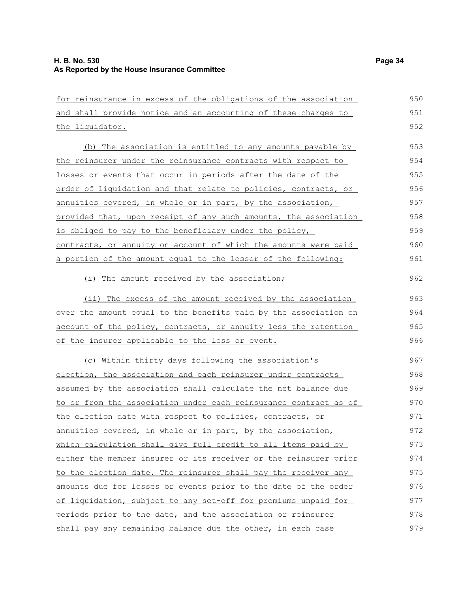| for reinsurance in excess of the obligations of the association  | 950 |
|------------------------------------------------------------------|-----|
| and shall provide notice and an accounting of these charges to   | 951 |
| the liquidator.                                                  | 952 |
| (b) The association is entitled to any amounts payable by        | 953 |
| the reinsurer under the reinsurance contracts with respect to    | 954 |
| losses or events that occur in periods after the date of the     | 955 |
| order of liquidation and that relate to policies, contracts, or  | 956 |
| annuities covered, in whole or in part, by the association,      | 957 |
| provided that, upon receipt of any such amounts, the association | 958 |
| is obliged to pay to the beneficiary under the policy,           | 959 |
| contracts, or annuity on account of which the amounts were paid  | 960 |
| a portion of the amount equal to the lesser of the following:    | 961 |
| (i) The amount received by the association;                      | 962 |
| (ii) The excess of the amount received by the association        | 963 |
| over the amount equal to the benefits paid by the association on | 964 |
| account of the policy, contracts, or annuity less the retention  | 965 |
| of the insurer applicable to the loss or event.                  | 966 |
| (c) Within thirty days following the association's               | 967 |
| election, the association and each reinsurer under contracts     | 968 |
| assumed by the association shall calculate the net balance due   | 969 |
| to or from the association under each reinsurance contract as of | 970 |
| the election date with respect to policies, contracts, or        | 971 |
| annuities covered, in whole or in part, by the association,      | 972 |
| which calculation shall give full credit to all items paid by    | 973 |
| either the member insurer or its receiver or the reinsurer prior | 974 |
| to the election date. The reinsurer shall pay the receiver any   | 975 |
| amounts due for losses or events prior to the date of the order  | 976 |
| of liquidation, subject to any set-off for premiums unpaid for   | 977 |
| periods prior to the date, and the association or reinsurer      | 978 |
| shall pay any remaining balance due the other, in each case      | 979 |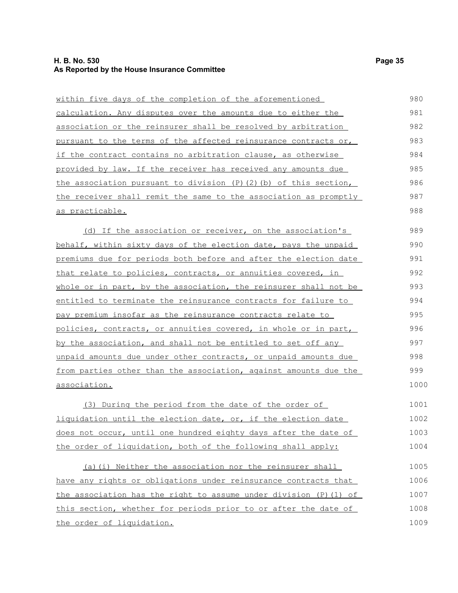### **H. B. No. 530 Page 35 As Reported by the House Insurance Committee**

| within five days of the completion of the aforementioned                | 980  |
|-------------------------------------------------------------------------|------|
| calculation. Any disputes over the amounts due to either the            | 981  |
| association or the reinsurer shall be resolved by arbitration           | 982  |
| pursuant to the terms of the affected reinsurance contracts or,         | 983  |
| if the contract contains no arbitration clause, as otherwise            | 984  |
| provided by law. If the receiver has received any amounts due           | 985  |
| the association pursuant to division $(P)$ $(2)$ $(b)$ of this section, | 986  |
| the receiver shall remit the same to the association as promptly        | 987  |
| as practicable.                                                         | 988  |
| (d) If the association or receiver, on the association's                | 989  |
| behalf, within sixty days of the election date, pays the unpaid         | 990  |
| premiums due for periods both before and after the election date        | 991  |
| that relate to policies, contracts, or annuities covered, in            | 992  |
| whole or in part, by the association, the reinsurer shall not be        | 993  |
| entitled to terminate the reinsurance contracts for failure to          | 994  |
| pay premium insofar as the reinsurance contracts relate to              | 995  |
| policies, contracts, or annuities covered, in whole or in part,         | 996  |
| by the association, and shall not be entitled to set off any            | 997  |
| unpaid amounts due under other contracts, or unpaid amounts due         | 998  |
| from parties other than the association, against amounts due the        | 999  |
| association.                                                            | 1000 |
| (3) During the period from the date of the order of                     | 1001 |
| <u>liquidation until the election date, or, if the election date</u>    | 1002 |
| does not occur, until one hundred eighty days after the date of         | 1003 |
| the order of liquidation, both of the following shall apply:            | 1004 |
| (a) (i) Neither the association nor the reinsurer shall                 | 1005 |
| have any rights or obligations under reinsurance contracts that         | 1006 |
| the association has the right to assume under division (P) (1) of       | 1007 |
| this section, whether for periods prior to or after the date of         | 1008 |
| the order of liquidation.                                               | 1009 |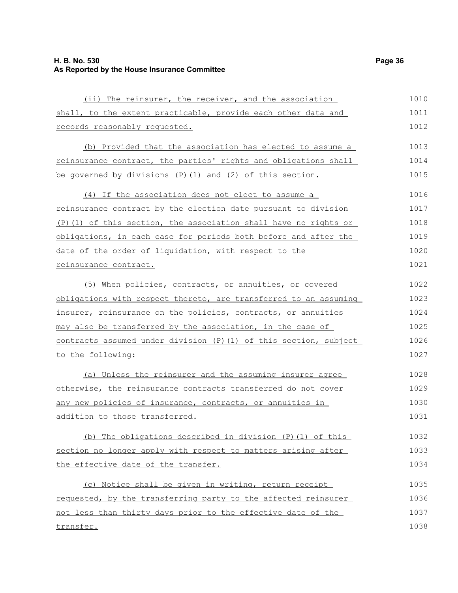### **H. B. No. 530 Page 36 As Reported by the House Insurance Committee**

| (ii) The reinsurer, the receiver, and the association             | 1010 |
|-------------------------------------------------------------------|------|
| shall, to the extent practicable, provide each other data and     | 1011 |
| records reasonably requested.                                     | 1012 |
| (b) Provided that the association has elected to assume a         | 1013 |
| reinsurance contract, the parties' rights and obligations shall   | 1014 |
| be governed by divisions $(P)$ (1) and (2) of this section.       | 1015 |
| (4) If the association does not elect to assume a                 | 1016 |
| reinsurance contract by the election date pursuant to division    | 1017 |
| (P)(1) of this section, the association shall have no rights or   | 1018 |
| obligations, in each case for periods both before and after the   | 1019 |
| date of the order of liquidation, with respect to the             | 1020 |
| reinsurance contract.                                             | 1021 |
| (5) When policies, contracts, or annuities, or covered            | 1022 |
| obligations with respect thereto, are transferred to an assuming  | 1023 |
| insurer, reinsurance on the policies, contracts, or annuities     | 1024 |
| may also be transferred by the association, in the case of        | 1025 |
| contracts assumed under division (P) (1) of this section, subject | 1026 |
| to the following:                                                 | 1027 |
| (a) Unless the reinsurer and the assuming insurer agree           | 1028 |
| otherwise, the reinsurance contracts transferred do not cover     | 1029 |
| any new policies of insurance, contracts, or annuities in         | 1030 |
| addition to those transferred.                                    | 1031 |
| (b) The obligations described in division (P) (1) of this         | 1032 |
| section no longer apply with respect to matters arising after     | 1033 |
| the effective date of the transfer.                               | 1034 |
| (c) Notice shall be given in writing, return receipt              | 1035 |
| requested, by the transferring party to the affected reinsurer    | 1036 |
| not less than thirty days prior to the effective date of the      | 1037 |
| transfer.                                                         | 1038 |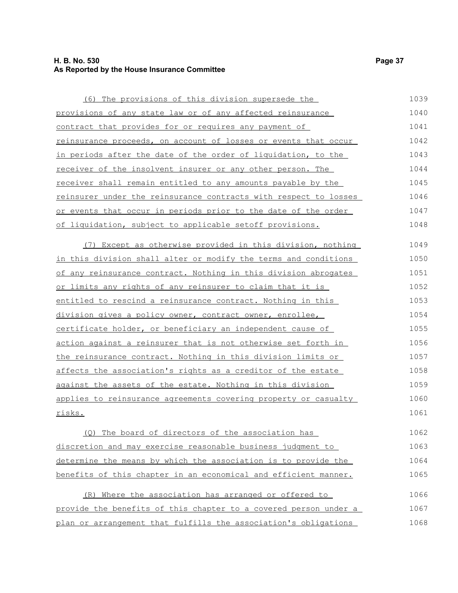### **H. B. No. 530 Page 37 As Reported by the House Insurance Committee**

| (6) The provisions of this division supersede the                | 1039 |
|------------------------------------------------------------------|------|
| provisions of any state law or of any affected reinsurance       | 1040 |
| contract that provides for or requires any payment of            | 1041 |
| reinsurance proceeds, on account of losses or events that occur  | 1042 |
| in periods after the date of the order of liquidation, to the    | 1043 |
| receiver of the insolvent insurer or any other person. The       | 1044 |
| receiver shall remain entitled to any amounts payable by the     | 1045 |
| reinsurer under the reinsurance contracts with respect to losses | 1046 |
| or events that occur in periods prior to the date of the order   | 1047 |
| of liquidation, subject to applicable setoff provisions.         | 1048 |
| (7) Except as otherwise provided in this division, nothing       | 1049 |
| in this division shall alter or modify the terms and conditions  | 1050 |
| of any reinsurance contract. Nothing in this division abrogates  | 1051 |
| or limits any rights of any reinsurer to claim that it is        | 1052 |
| entitled to rescind a reinsurance contract. Nothing in this      | 1053 |
| division gives a policy owner, contract owner, enrollee,         | 1054 |
| certificate holder, or beneficiary an independent cause of       | 1055 |
| action against a reinsurer that is not otherwise set forth in    | 1056 |
| the reinsurance contract. Nothing in this division limits or     | 1057 |
| affects the association's rights as a creditor of the estate     | 1058 |
| against the assets of the estate. Nothing in this division       | 1059 |
| applies to reinsurance agreements covering property or casualty  | 1060 |
| risks.                                                           | 1061 |
| (Q) The board of directors of the association has                | 1062 |
| discretion and may exercise reasonable business judgment to      | 1063 |

(R) Where the association has arranged or offered to provide the benefits of this chapter to a covered person under a plan or arrangement that fulfills the association's obligations 1066 1067 1068

determine the means by which the association is to provide the benefits of this chapter in an economical and efficient manner.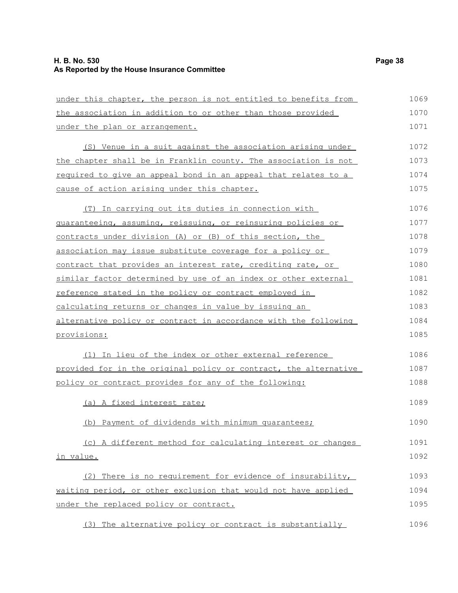### **H. B. No. 530 Page 38 As Reported by the House Insurance Committee**

| under this chapter, the person is not entitled to benefits from  | 1069 |
|------------------------------------------------------------------|------|
| the association in addition to or other than those provided      | 1070 |
| under the plan or arrangement.                                   | 1071 |
| (S) Venue in a suit against the association arising under        | 1072 |
| the chapter shall be in Franklin county. The association is not  | 1073 |
| required to give an appeal bond in an appeal that relates to a   | 1074 |
| cause of action arising under this chapter.                      | 1075 |
| In carrying out its duties in connection with<br>(T)             | 1076 |
| guaranteeing, assuming, reissuing, or reinsuring policies or     | 1077 |
| contracts under division (A) or (B) of this section, the         | 1078 |
| association may issue substitute coverage for a policy or        | 1079 |
| contract that provides an interest rate, crediting rate, or      | 1080 |
| similar factor determined by use of an index or other external   | 1081 |
| reference stated in the policy or contract employed in           | 1082 |
| calculating returns or changes in value by issuing an            | 1083 |
| alternative policy or contract in accordance with the following  | 1084 |
| provisions:                                                      | 1085 |
| (1) In lieu of the index or other external reference             | 1086 |
| provided for in the original policy or contract, the alternative | 1087 |
| policy or contract provides for any of the following:            | 1088 |
| (a) A fixed interest rate;                                       | 1089 |
| (b) Payment of dividends with minimum quarantees;                | 1090 |
| (c) A different method for calculating interest or changes       | 1091 |
| in value.                                                        | 1092 |
| (2) There is no requirement for evidence of insurability,        | 1093 |
| waiting period, or other exclusion that would not have applied   | 1094 |
| under the replaced policy or contract.                           | 1095 |
| (3) The alternative policy or contract is substantially          | 1096 |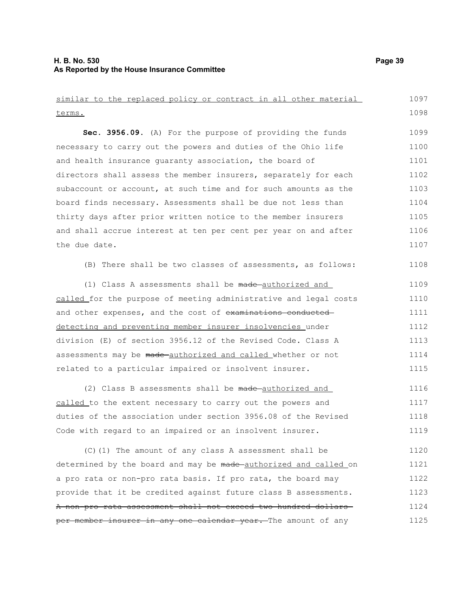### **H. B. No. 530 Page 39 As Reported by the House Insurance Committee**

similar to the replaced policy or contract in all other material terms. **Sec. 3956.09.** (A) For the purpose of providing the funds necessary to carry out the powers and duties of the Ohio life and health insurance guaranty association, the board of directors shall assess the member insurers, separately for each subaccount or account, at such time and for such amounts as the board finds necessary. Assessments shall be due not less than thirty days after prior written notice to the member insurers and shall accrue interest at ten per cent per year on and after the due date. (B) There shall be two classes of assessments, as follows: (1) Class A assessments shall be made-authorized and called for the purpose of meeting administrative and legal costs and other expenses, and the cost of examinations conducteddetecting and preventing member insurer insolvencies under division (E) of section 3956.12 of the Revised Code. Class A assessments may be made authorized and called whether or not related to a particular impaired or insolvent insurer. (2) Class B assessments shall be made-authorized and called to the extent necessary to carry out the powers and duties of the association under section 3956.08 of the Revised Code with regard to an impaired or an insolvent insurer. (C)(1) The amount of any class A assessment shall be 1097 1098 1099 1100 1101 1102 1103 1104 1105 1106 1107 1108 1109 1110 1111 1112 1113 1114 1115 1116 1117 1118 1119 1120

determined by the board and may be made authorized and called on a pro rata or non-pro rata basis. If pro rata, the board may provide that it be credited against future class B assessments. A non-pro rata assessment shall not exceed two hundred dollars per member insurer in any one calendar year. The amount of any 1121 1122 1123 1124 1125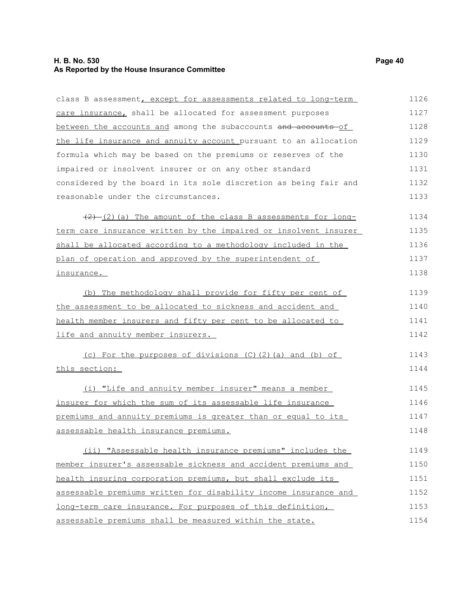### **H. B. No. 530 Page 40 As Reported by the House Insurance Committee**

class B assessment, except for assessments related to long-term care insurance, shall be allocated for assessment purposes between the accounts and among the subaccounts and accounts of the life insurance and annuity account pursuant to an allocation formula which may be based on the premiums or reserves of the impaired or insolvent insurer or on any other standard considered by the board in its sole discretion as being fair and reasonable under the circumstances.  $(2)$  (2) (a) The amount of the class B assessments for longterm care insurance written by the impaired or insolvent insurer shall be allocated according to a methodology included in the plan of operation and approved by the superintendent of insurance. (b) The methodology shall provide for fifty per cent of the assessment to be allocated to sickness and accident and health member insurers and fifty per cent to be allocated to life and annuity member insurers. (c) For the purposes of divisions (C)(2)(a) and (b) of this section: (i) "Life and annuity member insurer" means a member insurer for which the sum of its assessable life insurance premiums and annuity premiums is greater than or equal to its assessable health insurance premiums. (ii) "Assessable health insurance premiums" includes the member insurer's assessable sickness and accident premiums and health insuring corporation premiums, but shall exclude its assessable premiums written for disability income insurance and long-term care insurance. For purposes of this definition, assessable premiums shall be measured within the state. 1126 1127 1128 1129 1130 1131 1132 1133 1134 1135 1136 1137 1138 1139 1140 1141 1142 1143 1144 1145 1146 1147 1148 1149 1150 1151 1152 1153 1154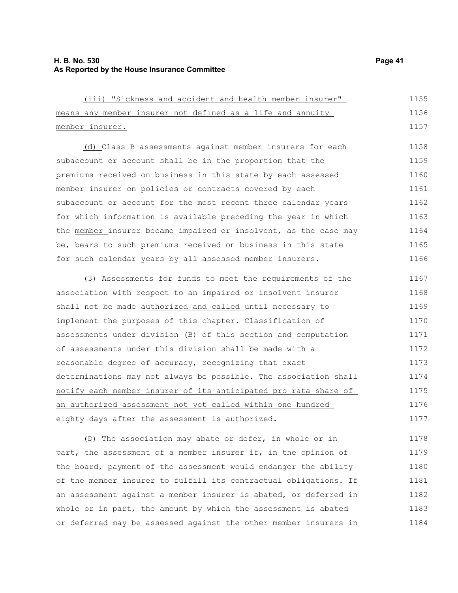| (iii) "Sickness and accident and health member insurer"          | 1155 |
|------------------------------------------------------------------|------|
| means any member insurer not defined as a life and annuity       | 1156 |
| member insurer.                                                  | 1157 |
| (d) Class B assessments against member insurers for each         | 1158 |
| subaccount or account shall be in the proportion that the        | 1159 |
| premiums received on business in this state by each assessed     | 1160 |
| member insurer on policies or contracts covered by each          | 1161 |
| subaccount or account for the most recent three calendar years   | 1162 |
| for which information is available preceding the year in which   | 1163 |
| the member insurer became impaired or insolvent, as the case may | 1164 |
| be, bears to such premiums received on business in this state    | 1165 |
| for such calendar years by all assessed member insurers.         | 1166 |
| (3) Assessments for funds to meet the requirements of the        | 1167 |
| association with respect to an impaired or insolvent insurer     | 1168 |
| shall not be made-authorized and called until necessary to       | 1169 |
| implement the purposes of this chapter. Classification of        | 1170 |
| assessments under division (B) of this section and computation   | 1171 |
| of assessments under this division shall be made with a          | 1172 |
| reasonable degree of accuracy, recognizing that exact            | 1173 |
| determinations may not always be possible. The association shall | 1174 |
| notify each member insurer of its anticipated pro rata share of  | 1175 |
| an authorized assessment not yet called within one hundred       | 1176 |
| eighty days after the assessment is authorized.                  | 1177 |

(D) The association may abate or defer, in whole or in part, the assessment of a member insurer if, in the opinion of the board, payment of the assessment would endanger the ability of the member insurer to fulfill its contractual obligations. If an assessment against a member insurer is abated, or deferred in whole or in part, the amount by which the assessment is abated or deferred may be assessed against the other member insurers in 1178 1179 1180 1181 1182 1183 1184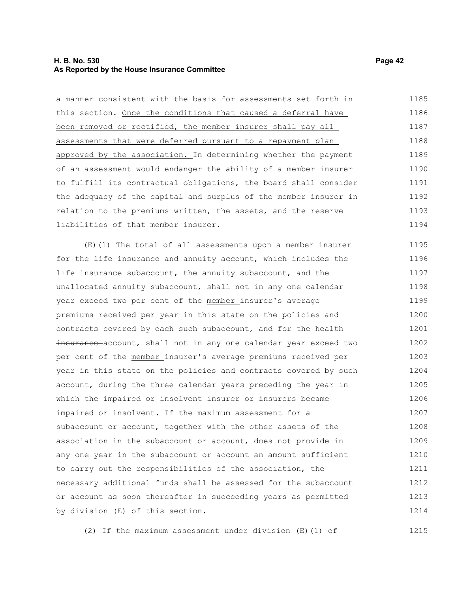### **H. B. No. 530 Page 42 As Reported by the House Insurance Committee**

a manner consistent with the basis for assessments set forth in this section. Once the conditions that caused a deferral have been removed or rectified, the member insurer shall pay all assessments that were deferred pursuant to a repayment plan approved by the association. In determining whether the payment of an assessment would endanger the ability of a member insurer to fulfill its contractual obligations, the board shall consider the adequacy of the capital and surplus of the member insurer in relation to the premiums written, the assets, and the reserve liabilities of that member insurer. (E)(1) The total of all assessments upon a member insurer for the life insurance and annuity account, which includes the life insurance subaccount, the annuity subaccount, and the 1185 1186 1187 1188 1189 1190 1191 1192 1193 1194 1195 1196 1197

unallocated annuity subaccount, shall not in any one calendar year exceed two per cent of the member insurer's average premiums received per year in this state on the policies and contracts covered by each such subaccount, and for the health insurance account, shall not in any one calendar year exceed two per cent of the member insurer's average premiums received per year in this state on the policies and contracts covered by such account, during the three calendar years preceding the year in which the impaired or insolvent insurer or insurers became impaired or insolvent. If the maximum assessment for a subaccount or account, together with the other assets of the association in the subaccount or account, does not provide in any one year in the subaccount or account an amount sufficient to carry out the responsibilities of the association, the necessary additional funds shall be assessed for the subaccount or account as soon thereafter in succeeding years as permitted by division (E) of this section. 1198 1199 1200 1201 1202 1203 1204 1205 1206 1207 1208 1209 1210 1211 1212 1213 1214

(2) If the maximum assessment under division (E)(1) of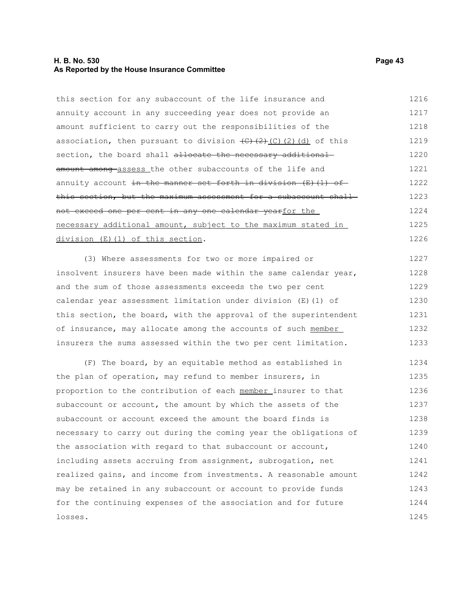### **H. B. No. 530 Page 43 As Reported by the House Insurance Committee**

this section for any subaccount of the life insurance and annuity account in any succeeding year does not provide an amount sufficient to carry out the responsibilities of the association, then pursuant to division  $\left(\frac{C}{C}\right)\left(\frac{C}{C}\right)$  (d) of this section, the board shall allocate the necessary additional amount among assess the other subaccounts of the life and annuity account in the manner set forth in division  $(E)$  (1) of this section, but the maximum assessment for a subaccount shallnot exceed one per cent in any one calendar yearfor the necessary additional amount, subject to the maximum stated in division (E)(1) of this section. 1216 1217 1218 1219 1220 1221 1222 1223 1224 1225 1226

(3) Where assessments for two or more impaired or insolvent insurers have been made within the same calendar year, and the sum of those assessments exceeds the two per cent calendar year assessment limitation under division (E)(1) of this section, the board, with the approval of the superintendent of insurance, may allocate among the accounts of such member insurers the sums assessed within the two per cent limitation. 1227 1228 1229 1230 1231 1232 1233

(F) The board, by an equitable method as established in the plan of operation, may refund to member insurers, in proportion to the contribution of each member insurer to that subaccount or account, the amount by which the assets of the subaccount or account exceed the amount the board finds is necessary to carry out during the coming year the obligations of the association with regard to that subaccount or account, including assets accruing from assignment, subrogation, net realized gains, and income from investments. A reasonable amount may be retained in any subaccount or account to provide funds for the continuing expenses of the association and for future losses. 1234 1235 1236 1237 1238 1239 1240 1241 1242 1243 1244 1245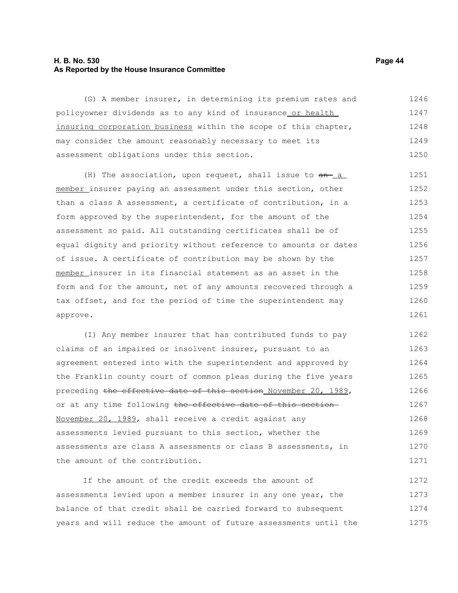### **H. B. No. 530 Page 44 As Reported by the House Insurance Committee**

(G) A member insurer, in determining its premium rates and policyowner dividends as to any kind of insurance or health insuring corporation business within the scope of this chapter, may consider the amount reasonably necessary to meet its assessment obligations under this section. 1246 1247 1248 1249 1250

(H) The association, upon request, shall issue to  $an - a$ member insurer paying an assessment under this section, other than a class A assessment, a certificate of contribution, in a form approved by the superintendent, for the amount of the assessment so paid. All outstanding certificates shall be of equal dignity and priority without reference to amounts or dates of issue. A certificate of contribution may be shown by the member insurer in its financial statement as an asset in the form and for the amount, net of any amounts recovered through a tax offset, and for the period of time the superintendent may approve. 1251 1252 1253 1254 1255 1256 1257 1258 1259 1260 1261

(I) Any member insurer that has contributed funds to pay claims of an impaired or insolvent insurer, pursuant to an agreement entered into with the superintendent and approved by the Franklin county court of common pleas during the five years preceding the effective date of this section November 20, 1989, or at any time following the effective date of this section-November 20, 1989, shall receive a credit against any assessments levied pursuant to this section, whether the assessments are class A assessments or class B assessments, in the amount of the contribution. 1262 1263 1264 1265 1266 1267 1268 1269 1270 1271

If the amount of the credit exceeds the amount of assessments levied upon a member insurer in any one year, the balance of that credit shall be carried forward to subsequent years and will reduce the amount of future assessments until the 1272 1273 1274 1275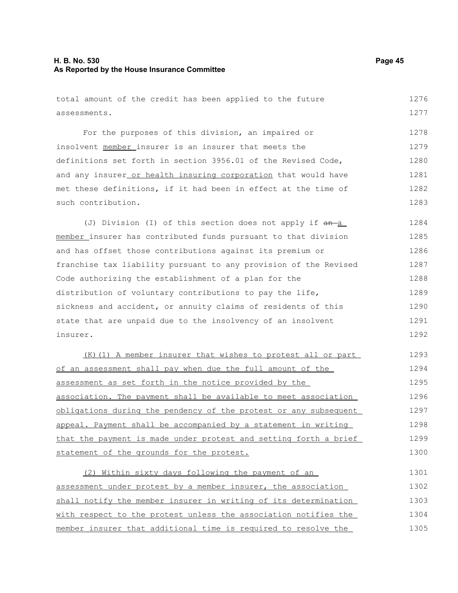### **H. B. No. 530 Page 45 As Reported by the House Insurance Committee**

total amount of the credit has been applied to the future

assessments. For the purposes of this division, an impaired or insolvent member insurer is an insurer that meets the definitions set forth in section 3956.01 of the Revised Code, and any insurer or health insuring corporation that would have met these definitions, if it had been in effect at the time of such contribution. (J) Division (I) of this section does not apply if  $an-a$ member insurer has contributed funds pursuant to that division and has offset those contributions against its premium or franchise tax liability pursuant to any provision of the Revised Code authorizing the establishment of a plan for the distribution of voluntary contributions to pay the life, sickness and accident, or annuity claims of residents of this state that are unpaid due to the insolvency of an insolvent insurer. (K)(1) A member insurer that wishes to protest all or part of an assessment shall pay when due the full amount of the assessment as set forth in the notice provided by the association. The payment shall be available to meet association obligations during the pendency of the protest or any subsequent appeal. Payment shall be accompanied by a statement in writing that the payment is made under protest and setting forth a brief statement of the grounds for the protest. (2) Within sixty days following the payment of an assessment under protest by a member insurer, the association shall notify the member insurer in writing of its determination with respect to the protest unless the association notifies the member insurer that additional time is required to resolve the 1277 1278 1279 1280 1281 1282 1283 1284 1285 1286 1287 1288 1289 1290 1291 1292 1293 1294 1295 1296 1297 1298 1299 1300 1301 1302 1303 1304 1305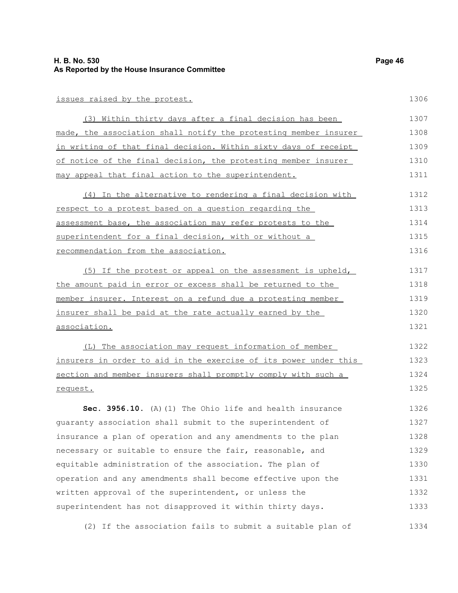### **H. B. No. 530 Page 46 As Reported by the House Insurance Committee**

#### issues raised by the protest.

| (3) Within thirty days after a final decision has been           | 1307 |
|------------------------------------------------------------------|------|
| made, the association shall notify the protesting member insurer | 1308 |
| in writing of that final decision. Within sixty days of receipt  | 1309 |
| of notice of the final decision, the protesting member insurer   | 1310 |
| may appeal that final action to the superintendent.              | 1311 |

| (4) In the alternative to rendering a final decision with<br>respect to a protest based on a question regarding the<br>assessment base, the association may refer protests to the | 1312 |
|-----------------------------------------------------------------------------------------------------------------------------------------------------------------------------------|------|
|                                                                                                                                                                                   | 1313 |
|                                                                                                                                                                                   | 1314 |
| superintendent for a final decision, with or without a                                                                                                                            | 1315 |
| recommendation from the association.                                                                                                                                              | 1316 |

(5) If the protest or appeal on the assessment is upheld, the amount paid in error or excess shall be returned to the member insurer. Interest on a refund due a protesting member insurer shall be paid at the rate actually earned by the association. 1317 1318 1319 1320 1321

(L) The association may request information of member insurers in order to aid in the exercise of its power under this section and member insurers shall promptly comply with such a request. 1322 1323 1324 1325

**Sec. 3956.10.** (A)(1) The Ohio life and health insurance guaranty association shall submit to the superintendent of insurance a plan of operation and any amendments to the plan necessary or suitable to ensure the fair, reasonable, and equitable administration of the association. The plan of operation and any amendments shall become effective upon the written approval of the superintendent, or unless the superintendent has not disapproved it within thirty days. 1326 1327 1328 1329 1330 1331 1332 1333

(2) If the association fails to submit a suitable plan of 1334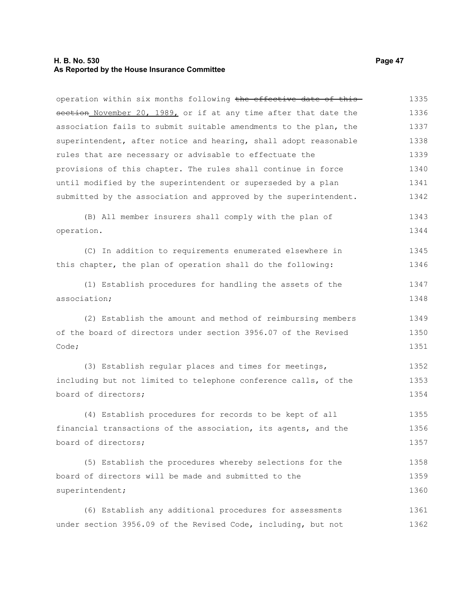### **H. B. No. 530 Page 47 As Reported by the House Insurance Committee**

operation within six months following the effective date of this section November 20, 1989, or if at any time after that date the association fails to submit suitable amendments to the plan, the superintendent, after notice and hearing, shall adopt reasonable rules that are necessary or advisable to effectuate the provisions of this chapter. The rules shall continue in force until modified by the superintendent or superseded by a plan submitted by the association and approved by the superintendent. 1335 1336 1337 1338 1339 1340 1341 1342

(B) All member insurers shall comply with the plan of operation. 1343 1344

(C) In addition to requirements enumerated elsewhere in this chapter, the plan of operation shall do the following: 1345 1346

(1) Establish procedures for handling the assets of the association; 1347 1348

(2) Establish the amount and method of reimbursing members of the board of directors under section 3956.07 of the Revised Code; 1349 1350 1351

(3) Establish regular places and times for meetings, including but not limited to telephone conference calls, of the board of directors; 1352 1353 1354

(4) Establish procedures for records to be kept of all financial transactions of the association, its agents, and the board of directors; 1355 1356 1357

(5) Establish the procedures whereby selections for the board of directors will be made and submitted to the superintendent; 1358 1359 1360

(6) Establish any additional procedures for assessments under section 3956.09 of the Revised Code, including, but not 1361 1362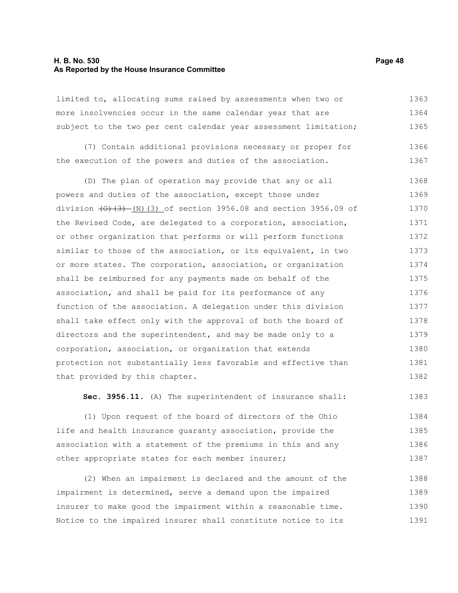#### **H. B. No. 530 Page 48 As Reported by the House Insurance Committee**

limited to, allocating sums raised by assessments when two or more insolvencies occur in the same calendar year that are subject to the two per cent calendar year assessment limitation; 1363 1364 1365

(7) Contain additional provisions necessary or proper for the execution of the powers and duties of the association. 1366 1367

(D) The plan of operation may provide that any or all powers and duties of the association, except those under division  $(0)$   $(3)$   $(N)$   $(3)$  of section 3956.08 and section 3956.09 of the Revised Code, are delegated to a corporation, association, or other organization that performs or will perform functions similar to those of the association, or its equivalent, in two or more states. The corporation, association, or organization shall be reimbursed for any payments made on behalf of the association, and shall be paid for its performance of any function of the association. A delegation under this division shall take effect only with the approval of both the board of directors and the superintendent, and may be made only to a corporation, association, or organization that extends protection not substantially less favorable and effective than that provided by this chapter. 1368 1369 1370 1371 1372 1373 1374 1375 1376 1377 1378 1379 1380 1381 1382

**Sec. 3956.11.** (A) The superintendent of insurance shall: 1383

(1) Upon request of the board of directors of the Ohio life and health insurance guaranty association, provide the association with a statement of the premiums in this and any other appropriate states for each member insurer; 1384 1385 1386 1387

(2) When an impairment is declared and the amount of the impairment is determined, serve a demand upon the impaired insurer to make good the impairment within a reasonable time. Notice to the impaired insurer shall constitute notice to its 1388 1389 1390 1391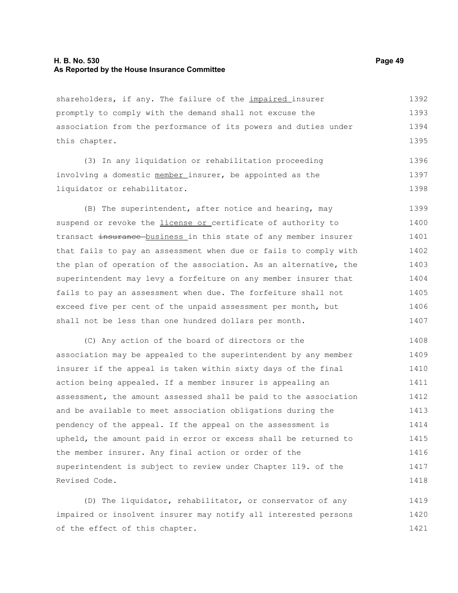### **H. B. No. 530 Page 49 As Reported by the House Insurance Committee**

shareholders, if any. The failure of the *impaired* insurer promptly to comply with the demand shall not excuse the association from the performance of its powers and duties under this chapter. 1392 1393 1394 1395

(3) In any liquidation or rehabilitation proceeding involving a domestic member insurer, be appointed as the liquidator or rehabilitator. 1396 1397 1398

(B) The superintendent, after notice and hearing, may suspend or revoke the *license or* certificate of authority to transact insurance business in this state of any member insurer that fails to pay an assessment when due or fails to comply with the plan of operation of the association. As an alternative, the superintendent may levy a forfeiture on any member insurer that fails to pay an assessment when due. The forfeiture shall not exceed five per cent of the unpaid assessment per month, but shall not be less than one hundred dollars per month. 1399 1400 1401 1402 1403 1404 1405 1406 1407

(C) Any action of the board of directors or the association may be appealed to the superintendent by any member insurer if the appeal is taken within sixty days of the final action being appealed. If a member insurer is appealing an assessment, the amount assessed shall be paid to the association and be available to meet association obligations during the pendency of the appeal. If the appeal on the assessment is upheld, the amount paid in error or excess shall be returned to the member insurer. Any final action or order of the superintendent is subject to review under Chapter 119. of the Revised Code. 1408 1409 1410 1411 1412 1413 1414 1415 1416 1417 1418

(D) The liquidator, rehabilitator, or conservator of any impaired or insolvent insurer may notify all interested persons of the effect of this chapter. 1419 1420 1421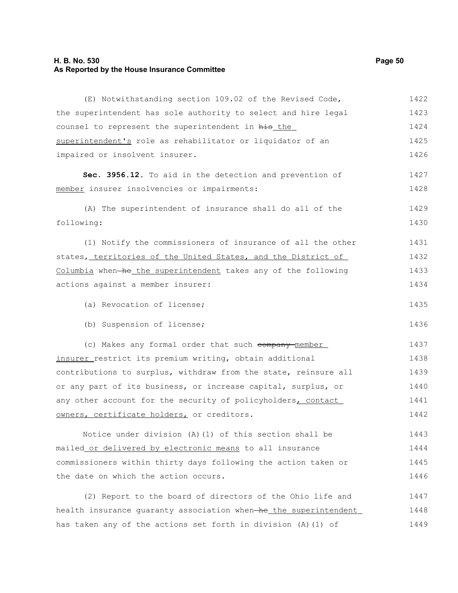### **H. B. No. 530 Page 50 As Reported by the House Insurance Committee**

| (E) Notwithstanding section 109.02 of the Revised Code,          | 1422 |
|------------------------------------------------------------------|------|
| the superintendent has sole authority to select and hire legal   | 1423 |
| counsel to represent the superintendent in his the               | 1424 |
| superintendent's role as rehabilitator or liquidator of an       | 1425 |
| impaired or insolvent insurer.                                   | 1426 |
| Sec. 3956.12. To aid in the detection and prevention of          | 1427 |
| member insurer insolvencies or impairments:                      | 1428 |
| (A) The superintendent of insurance shall do all of the          | 1429 |
| following:                                                       | 1430 |
| (1) Notify the commissioners of insurance of all the other       | 1431 |
| states, territories of the United States, and the District of    | 1432 |
| Columbia when-he the superintendent takes any of the following   | 1433 |
| actions against a member insurer:                                | 1434 |
| (a) Revocation of license;                                       | 1435 |
| (b) Suspension of license;                                       | 1436 |
| (c) Makes any formal order that such company-member              | 1437 |
| insurer restrict its premium writing, obtain additional          | 1438 |
| contributions to surplus, withdraw from the state, reinsure all  | 1439 |
| or any part of its business, or increase capital, surplus, or    | 1440 |
| any other account for the security of policyholders, contact     | 1441 |
| owners, certificate holders, or creditors.                       | 1442 |
| Notice under division (A) (1) of this section shall be           | 1443 |
| mailed or delivered by electronic means to all insurance         | 1444 |
| commissioners within thirty days following the action taken or   | 1445 |
| the date on which the action occurs.                             | 1446 |
| (2) Report to the board of directors of the Ohio life and        | 1447 |
| health insurance quaranty association when-he the superintendent | 1448 |
| has taken any of the actions set forth in division (A) (1) of    | 1449 |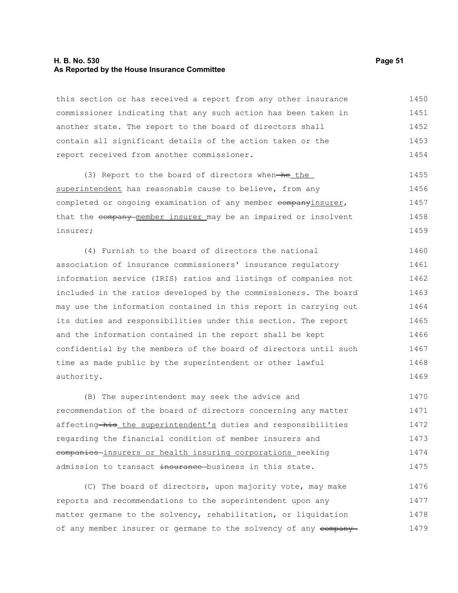### **H. B. No. 530 Page 51 As Reported by the House Insurance Committee**

this section or has received a report from any other insurance commissioner indicating that any such action has been taken in another state. The report to the board of directors shall contain all significant details of the action taken or the report received from another commissioner. 1450 1451 1452 1453 1454

 $(3)$  Report to the board of directors when-he the superintendent has reasonable cause to believe, from any completed or ongoing examination of any member companyinsurer, that the company member insurer may be an impaired or insolvent insurer; 1455 1456 1457 1458 1459

(4) Furnish to the board of directors the national association of insurance commissioners' insurance regulatory information service (IRIS) ratios and listings of companies not included in the ratios developed by the commissioners. The board may use the information contained in this report in carrying out its duties and responsibilities under this section. The report and the information contained in the report shall be kept confidential by the members of the board of directors until such time as made public by the superintendent or other lawful authority. 1460 1461 1462 1463 1464 1465 1466 1467 1468 1469

(B) The superintendent may seek the advice and recommendation of the board of directors concerning any matter affecting his the superintendent's duties and responsibilities regarding the financial condition of member insurers and companies insurers or health insuring corporations seeking admission to transact insurance business in this state. 1470 1471 1472 1473 1474 1475

(C) The board of directors, upon majority vote, may make reports and recommendations to the superintendent upon any matter germane to the solvency, rehabilitation, or liquidation of any member insurer or germane to the solvency of any company-1476 1477 1478 1479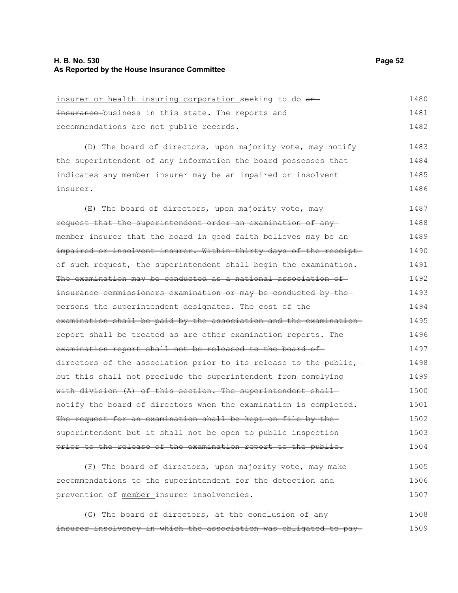| insurer or health insuring corporation seeking to do an-         | 1480 |
|------------------------------------------------------------------|------|
| insurance business in this state. The reports and                | 1481 |
| recommendations are not public records.                          | 1482 |
| (D) The board of directors, upon majority vote, may notify       | 1483 |
| the superintendent of any information the board possesses that   | 1484 |
| indicates any member insurer may be an impaired or insolvent     | 1485 |
| insurer.                                                         | 1486 |
| (E) The board of directors, upon majority vote, may              | 1487 |
| request that the superintendent order an examination of any      | 1488 |
| member insurer that the board in good faith believes may be an-  | 1489 |
| impaired or insolvent insurer. Within thirty days of the receipt | 1490 |
| of such request, the superintendent shall begin the examination. | 1491 |
| The examination may be conducted as a national association of    | 1492 |
| insurance commissioners examination or may be conducted by the   | 1493 |
| persons the superintendent designates. The cost of the-          | 1494 |
| examination shall be paid by the association and the examination | 1495 |
| report shall be treated as are other examination reports. The    | 1496 |
| examination report shall not be released to the board of-        | 1497 |
| directors of the association prior to its release to the public, | 1498 |
| but this shall not preclude the superintendent from complying    | 1499 |
| with division (A) of this section. The superintendent shall-     | 1500 |
| notify the board of directors when the examination is completed. | 1501 |
| The request for an examination shall be kept on file by the      | 1502 |
| superintendent but it shall not be open to public inspection-    | 1503 |
| prior to the release of the examination report to the public.    | 1504 |
| (F) The board of directors, upon majority vote, may make         | 1505 |
| recommendations to the superintendent for the detection and      | 1506 |
| prevention of member insurer insolvencies.                       | 1507 |

(G) The board of directors, at the conclusion of any insurer insolvency in which the association was obligated to pay 1508 1509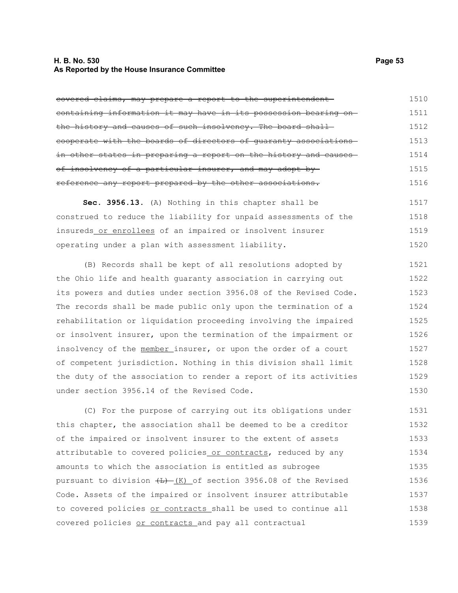### **H. B. No. 530 Page 53 As Reported by the House Insurance Committee**

covered claims, may prepare a report to the superintendent containing information it may have in its possession bearing on the history and causes of such insolvency. The board shallcooperate with the boards of directors of guaranty associations in other states in preparing a report on the history and causesof insolvency of a particular insurer, and may adopt by reference any report prepared by the other associations. 1510 1511 1512 1513 1514 1515 1516

**Sec. 3956.13.** (A) Nothing in this chapter shall be construed to reduce the liability for unpaid assessments of the insureds or enrollees of an impaired or insolvent insurer operating under a plan with assessment liability. 1517 1518 1519 1520

(B) Records shall be kept of all resolutions adopted by the Ohio life and health guaranty association in carrying out its powers and duties under section 3956.08 of the Revised Code. The records shall be made public only upon the termination of a rehabilitation or liquidation proceeding involving the impaired or insolvent insurer, upon the termination of the impairment or insolvency of the member insurer, or upon the order of a court of competent jurisdiction. Nothing in this division shall limit the duty of the association to render a report of its activities under section 3956.14 of the Revised Code. 1521 1522 1523 1524 1525 1526 1527 1528 1529 1530

(C) For the purpose of carrying out its obligations under this chapter, the association shall be deemed to be a creditor of the impaired or insolvent insurer to the extent of assets attributable to covered policies or contracts, reduced by any amounts to which the association is entitled as subrogee pursuant to division  $\frac{L}{L}$  (K) of section 3956.08 of the Revised Code. Assets of the impaired or insolvent insurer attributable to covered policies or contracts shall be used to continue all covered policies or contracts and pay all contractual 1531 1532 1533 1534 1535 1536 1537 1538 1539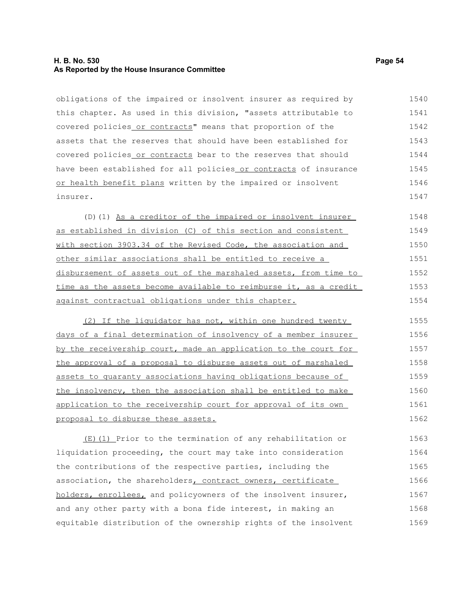### **H. B. No. 530 Page 54 As Reported by the House Insurance Committee**

obligations of the impaired or insolvent insurer as required by this chapter. As used in this division, "assets attributable to covered policies or contracts" means that proportion of the assets that the reserves that should have been established for covered policies or contracts bear to the reserves that should have been established for all policies or contracts of insurance or health benefit plans written by the impaired or insolvent insurer. 1540 1541 1542 1543 1544 1545 1546 1547

(D)(1) As a creditor of the impaired or insolvent insurer as established in division (C) of this section and consistent with section 3903.34 of the Revised Code, the association and other similar associations shall be entitled to receive a disbursement of assets out of the marshaled assets, from time to time as the assets become available to reimburse it, as a credit against contractual obligations under this chapter. 1548 1549 1550 1551 1552 1553 1554

(2) If the liquidator has not, within one hundred twenty days of a final determination of insolvency of a member insurer by the receivership court, made an application to the court for the approval of a proposal to disburse assets out of marshaled assets to guaranty associations having obligations because of the insolvency, then the association shall be entitled to make application to the receivership court for approval of its own proposal to disburse these assets. 1555 1556 1557 1558 1559 1560 1561 1562

(E)(1) Prior to the termination of any rehabilitation or liquidation proceeding, the court may take into consideration the contributions of the respective parties, including the association, the shareholders, contract owners, certificate holders, enrollees, and policyowners of the insolvent insurer, and any other party with a bona fide interest, in making an equitable distribution of the ownership rights of the insolvent 1563 1564 1565 1566 1567 1568 1569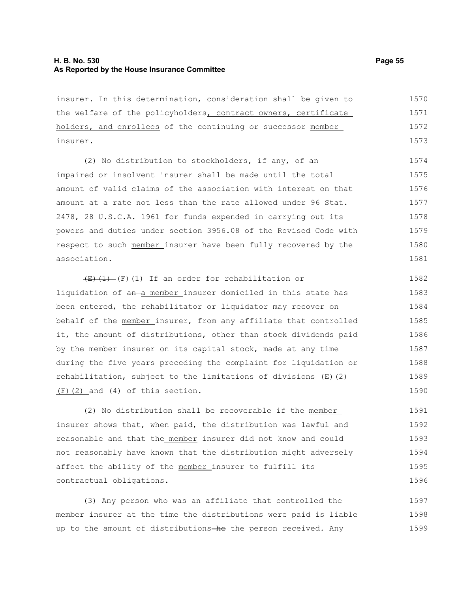#### **H. B. No. 530 Page 55 As Reported by the House Insurance Committee**

insurer. In this determination, consideration shall be given to the welfare of the policyholders, contract owners, certificate holders, and enrollees of the continuing or successor member insurer. 1570 1571 1572 1573

(2) No distribution to stockholders, if any, of an impaired or insolvent insurer shall be made until the total amount of valid claims of the association with interest on that amount at a rate not less than the rate allowed under 96 Stat. 2478, 28 U.S.C.A. 1961 for funds expended in carrying out its powers and duties under section 3956.08 of the Revised Code with respect to such member insurer have been fully recovered by the association. 1574 1575 1576 1577 1578 1579 1580 1581

 $\overline{(E)(1)}$  (F)(1) If an order for rehabilitation or liquidation of an-a member insurer domiciled in this state has been entered, the rehabilitator or liquidator may recover on behalf of the member insurer, from any affiliate that controlled it, the amount of distributions, other than stock dividends paid by the member insurer on its capital stock, made at any time during the five years preceding the complaint for liquidation or rehabilitation, subject to the limitations of divisions  $\left(\frac{E}{E}\right)\left(2\right)$ (F)(2) and (4) of this section. 1582 1583 1584 1585 1586 1587 1588 1589 1590

(2) No distribution shall be recoverable if the member insurer shows that, when paid, the distribution was lawful and reasonable and that the member insurer did not know and could not reasonably have known that the distribution might adversely affect the ability of the member insurer to fulfill its contractual obligations. 1591 1592 1593 1594 1595 1596

(3) Any person who was an affiliate that controlled the member insurer at the time the distributions were paid is liable up to the amount of distributions-he the person received. Any 1597 1598 1599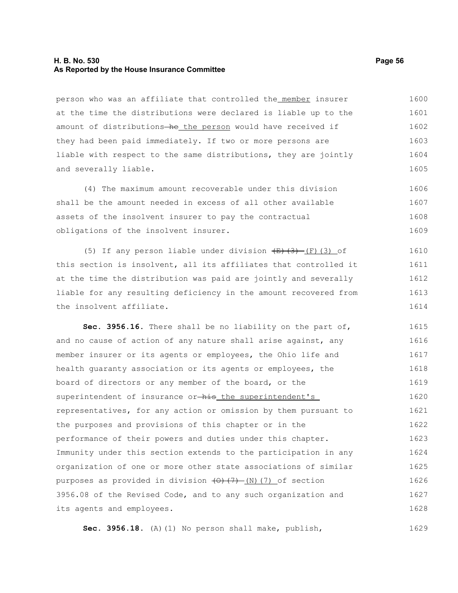### **H. B. No. 530 Page 56 As Reported by the House Insurance Committee**

person who was an affiliate that controlled the member insurer at the time the distributions were declared is liable up to the amount of distributions-he the person would have received if they had been paid immediately. If two or more persons are liable with respect to the same distributions, they are jointly and severally liable. 1600 1601 1602 1603 1604 1605

(4) The maximum amount recoverable under this division shall be the amount needed in excess of all other available assets of the insolvent insurer to pay the contractual obligations of the insolvent insurer. 1606 1607 1608 1609

(5) If any person liable under division  $\overline{(E)(3)}$  (F)(3) of this section is insolvent, all its affiliates that controlled it at the time the distribution was paid are jointly and severally liable for any resulting deficiency in the amount recovered from the insolvent affiliate. 1610 1611 1612 1613 1614

**Sec. 3956.16.** There shall be no liability on the part of, and no cause of action of any nature shall arise against, any member insurer or its agents or employees, the Ohio life and health guaranty association or its agents or employees, the board of directors or any member of the board, or the superintendent of insurance or-his the superintendent's representatives, for any action or omission by them pursuant to the purposes and provisions of this chapter or in the performance of their powers and duties under this chapter. Immunity under this section extends to the participation in any organization of one or more other state associations of similar purposes as provided in division  $(0)$   $(7)$  (N)(7) of section 3956.08 of the Revised Code, and to any such organization and its agents and employees. 1615 1616 1617 1618 1619 1620 1621 1622 1623 1624 1625 1626 1627 1628

**Sec. 3956.18.** (A)(1) No person shall make, publish, 1629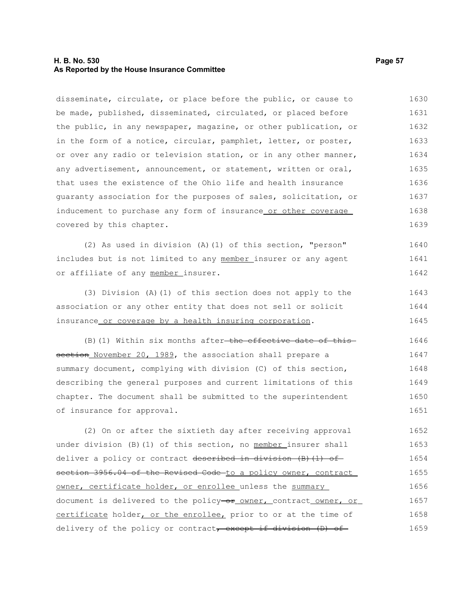### **H. B. No. 530 Page 57 As Reported by the House Insurance Committee**

disseminate, circulate, or place before the public, or cause to be made, published, disseminated, circulated, or placed before the public, in any newspaper, magazine, or other publication, or in the form of a notice, circular, pamphlet, letter, or poster, or over any radio or television station, or in any other manner, any advertisement, announcement, or statement, written or oral, that uses the existence of the Ohio life and health insurance guaranty association for the purposes of sales, solicitation, or inducement to purchase any form of insurance or other coverage covered by this chapter. (2) As used in division (A)(1) of this section, "person" includes but is not limited to any member insurer or any agent or affiliate of any member insurer. (3) Division (A)(1) of this section does not apply to the association or any other entity that does not sell or solicit insurance or coverage by a health insuring corporation.  $(B)$  (1) Within six months after-the effective date of thissection November 20, 1989, the association shall prepare a summary document, complying with division (C) of this section, describing the general purposes and current limitations of this chapter. The document shall be submitted to the superintendent of insurance for approval. (2) On or after the sixtieth day after receiving approval under division (B)(1) of this section, no member insurer shall deliver a policy or contract described in division  $(B)$  (1) of section 3956.04 of the Revised Code to a policy owner, contract owner, certificate holder, or enrollee unless the summary document is delivered to the policy-or owner, contract owner, or certificate holder, or the enrollee, prior to or at the time of delivery of the policy or contract, except if division (D) of 1630 1631 1632 1633 1634 1635 1636 1637 1638 1639 1640 1641 1642 1643 1644 1645 1646 1647 1648 1649 1650 1651 1652 1653 1654 1655 1656 1657 1658 1659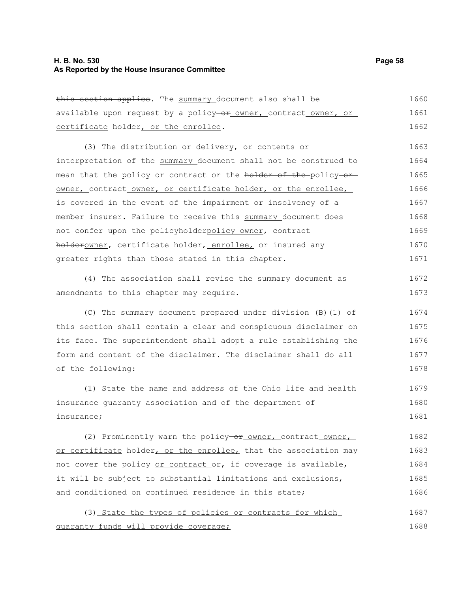### **H. B. No. 530 Page 58 As Reported by the House Insurance Committee**

this section applies. The summary document also shall be available upon request by a policy-or owner, contract owner, or certificate holder, or the enrollee. 1660 1661 1662

(3) The distribution or delivery, or contents or interpretation of the summary document shall not be construed to mean that the policy or contract or the holder of the policy or owner, contract owner, or certificate holder, or the enrollee, is covered in the event of the impairment or insolvency of a member insurer. Failure to receive this summary document does not confer upon the policyholderpolicy owner, contract holderowner, certificate holder, enrollee, or insured any greater rights than those stated in this chapter. 1663 1664 1665 1666 1667 1668 1669 1670 1671

(4) The association shall revise the summary document as amendments to this chapter may require. 1672 1673

(C) The summary document prepared under division (B)(1) of this section shall contain a clear and conspicuous disclaimer on its face. The superintendent shall adopt a rule establishing the form and content of the disclaimer. The disclaimer shall do all of the following: 1674 1675 1676 1677 1678

(1) State the name and address of the Ohio life and health insurance guaranty association and of the department of insurance; 1679 1680 1681

(2) Prominently warn the policy- $or$  owner, contract owner, or certificate holder, or the enrollee, that the association may not cover the policy or contract or, if coverage is available, it will be subject to substantial limitations and exclusions, and conditioned on continued residence in this state; 1682 1683 1684 1685 1686

(3) State the types of policies or contracts for which guaranty funds will provide coverage; 1687 1688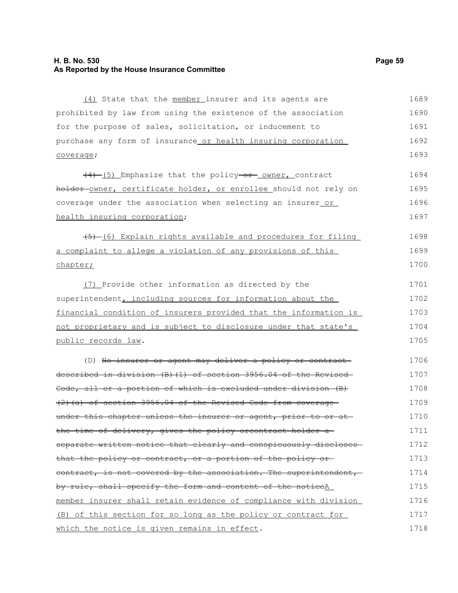### **H. B. No. 530 Page 59 As Reported by the House Insurance Committee**

(4) State that the member insurer and its agents are prohibited by law from using the existence of the association for the purpose of sales, solicitation, or inducement to purchase any form of insurance or health insuring corporation coverage;  $(4)$  (5) Emphasize that the policy-or owner, contract holder-owner, certificate holder, or enrollee should not rely on coverage under the association when selecting an insurer or health insuring corporation;  $(5)$  (6) Explain rights available and procedures for filing a complaint to allege a violation of any provisions of this chapter; (7) Provide other information as directed by the superintendent, including sources for information about the financial condition of insurers provided that the information is not proprietary and is subject to disclosure under that state's public records law. (D) No insurer or agent may deliver a policy or contract described in division (B)(1) of section 3956.04 of the Revised Code, all or a portion of which is excluded under division (B) (2)(a) of section 3956.04 of the Revised Code from coverage under this chapter unless the insurer or agent, prior to or at the time of delivery, gives the policy orcontract holder a separate written notice that clearly and conspicuously discloses that the policy or contract, or a portion of the policy or contract, is not covered by the association. The superintendent, by rule, shall specify the form and content of the noticeA member insurer shall retain evidence of compliance with division (B) of this section for so long as the policy or contract for which the notice is given remains in effect. 1689 1690 1691 1692 1693 1694 1695 1696 1697 1698 1699 1700 1701 1702 1703 1704 1705 1706 1707 1708 1709 1710 1711 1712 1713 1714 1715 1716 1717 1718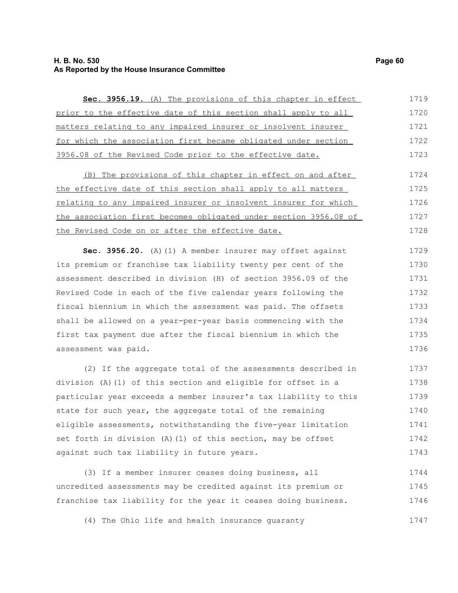### **H. B. No. 530 Page 60 As Reported by the House Insurance Committee**

| Sec. 3956.19. (A) The provisions of this chapter in effect       | 1719 |
|------------------------------------------------------------------|------|
| prior to the effective date of this section shall apply to all   | 1720 |
| matters relating to any impaired insurer or insolvent insurer    | 1721 |
| for which the association first became obligated under section   | 1722 |
| 3956.08 of the Revised Code prior to the effective date.         | 1723 |
| (B) The provisions of this chapter in effect on and after        | 1724 |
| the effective date of this section shall apply to all matters    | 1725 |
| relating to any impaired insurer or insolvent insurer for which  | 1726 |
| the association first becomes obligated under section 3956.08 of | 1727 |
| the Revised Code on or after the effective date.                 | 1728 |
| Sec. 3956.20. (A) (1) A member insurer may offset against        | 1729 |
| its premium or franchise tax liability twenty per cent of the    | 1730 |
| assessment described in division (H) of section 3956.09 of the   | 1731 |
| Revised Code in each of the five calendar years following the    | 1732 |
| fiscal biennium in which the assessment was paid. The offsets    | 1733 |
| shall be allowed on a year-per-year basis commencing with the    | 1734 |
| first tax payment due after the fiscal biennium in which the     | 1735 |
| assessment was paid.                                             | 1736 |
| (2) If the aggregate total of the assessments described in       | 1737 |
| division (A) (1) of this section and eligible for offset in a    | 1738 |
| particular year exceeds a member insurer's tax liability to this | 1739 |
| state for such year, the aggregate total of the remaining        | 1740 |
| eligible assessments, notwithstanding the five-year limitation   | 1741 |
| set forth in division (A) (1) of this section, may be offset     | 1742 |
| against such tax liability in future years.                      | 1743 |
| (3) If a member insurer ceases doing business, all               | 1744 |
| uncredited assessments may be credited against its premium or    | 1745 |
| franchise tax liability for the year it ceases doing business.   | 1746 |
| (4) The Ohio life and health insurance guaranty                  | 1747 |